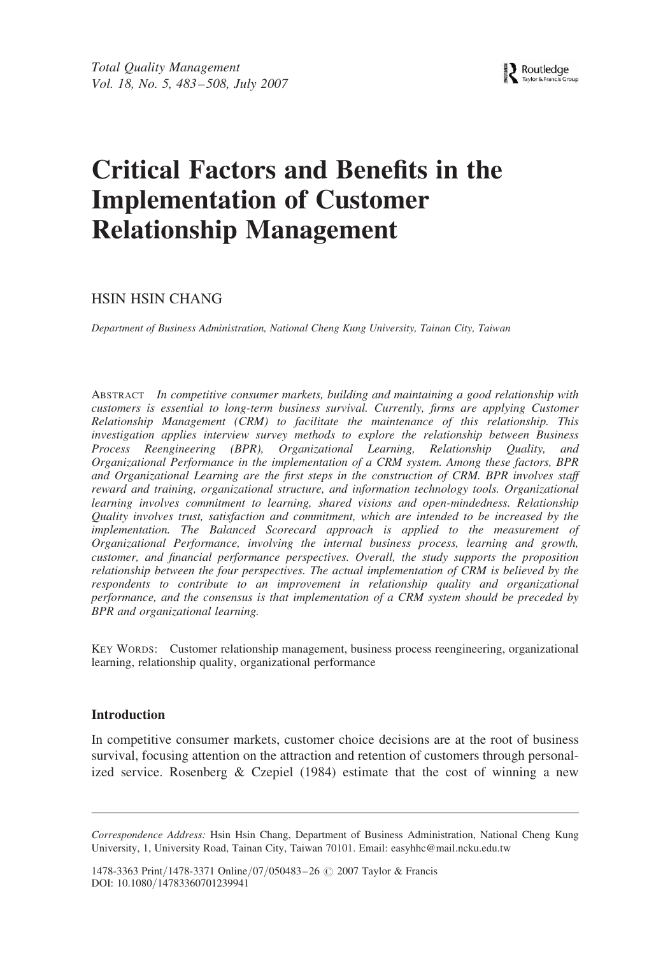Routledge Taylor & Francis Group

# Critical Factors and Benefits in the Implementation of Customer Relationship Management

# HSIN HSIN CHANG

Department of Business Administration, National Cheng Kung University, Tainan City, Taiwan

ABSTRACT In competitive consumer markets, building and maintaining a good relationship with customers is essential to long-term business survival. Currently, firms are applying Customer Relationship Management (CRM) to facilitate the maintenance of this relationship. This investigation applies interview survey methods to explore the relationship between Business Process Reengineering (BPR), Organizational Learning, Relationship Quality, and Organizational Performance in the implementation of a CRM system. Among these factors, BPR and Organizational Learning are the first steps in the construction of CRM. BPR involves staff reward and training, organizational structure, and information technology tools. Organizational learning involves commitment to learning, shared visions and open-mindedness. Relationship Quality involves trust, satisfaction and commitment, which are intended to be increased by the implementation. The Balanced Scorecard approach is applied to the measurement of Organizational Performance, involving the internal business process, learning and growth, customer, and financial performance perspectives. Overall, the study supports the proposition relationship between the four perspectives. The actual implementation of CRM is believed by the respondents to contribute to an improvement in relationship quality and organizational performance, and the consensus is that implementation of a CRM system should be preceded by BPR and organizational learning.

KEY WORDS: Customer relationship management, business process reengineering, organizational learning, relationship quality, organizational performance

#### Introduction

In competitive consumer markets, customer choice decisions are at the root of business survival, focusing attention on the attraction and retention of customers through personalized service. Rosenberg  $& Czepiel$  (1984) estimate that the cost of winning a new

1478-3363 Print/1478-3371 Online/07/050483-26 © 2007 Taylor & Francis DOI: 10.1080/14783360701239941

Correspondence Address: Hsin Hsin Chang, Department of Business Administration, National Cheng Kung University, 1, University Road, Tainan City, Taiwan 70101. Email: easyhhc@mail.ncku.edu.tw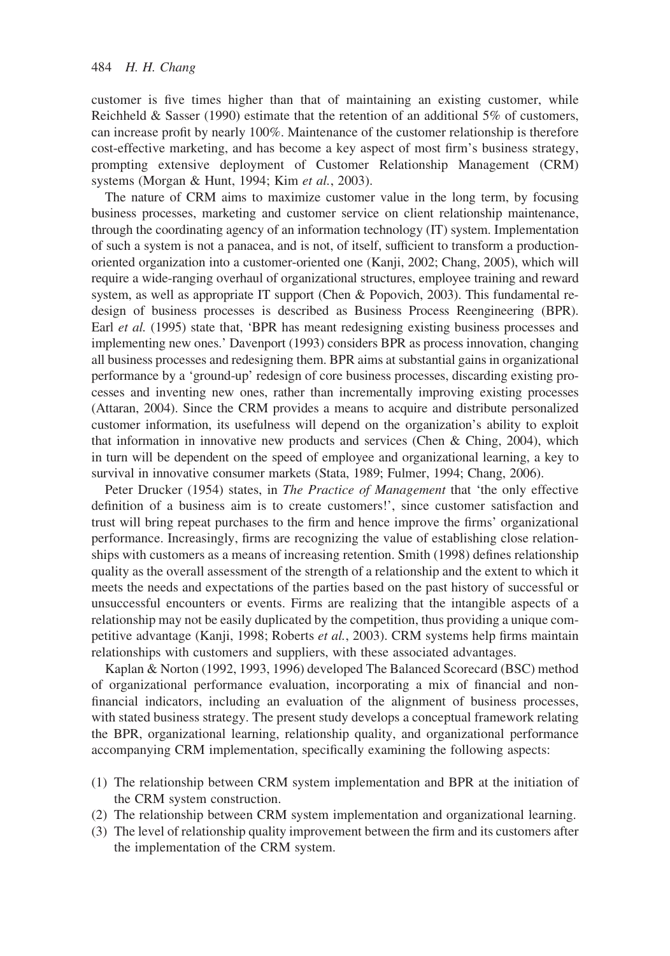customer is five times higher than that of maintaining an existing customer, while Reichheld  $&$  Sasser (1990) estimate that the retention of an additional 5% of customers, can increase profit by nearly 100%. Maintenance of the customer relationship is therefore cost-effective marketing, and has become a key aspect of most firm's business strategy, prompting extensive deployment of Customer Relationship Management (CRM) systems (Morgan & Hunt, 1994; Kim et al., 2003).

The nature of CRM aims to maximize customer value in the long term, by focusing business processes, marketing and customer service on client relationship maintenance, through the coordinating agency of an information technology (IT) system. Implementation of such a system is not a panacea, and is not, of itself, sufficient to transform a productionoriented organization into a customer-oriented one (Kanji, 2002; Chang, 2005), which will require a wide-ranging overhaul of organizational structures, employee training and reward system, as well as appropriate IT support (Chen & Popovich, 2003). This fundamental redesign of business processes is described as Business Process Reengineering (BPR). Earl et al. (1995) state that, 'BPR has meant redesigning existing business processes and implementing new ones.' Davenport (1993) considers BPR as process innovation, changing all business processes and redesigning them. BPR aims at substantial gains in organizational performance by a 'ground-up' redesign of core business processes, discarding existing processes and inventing new ones, rather than incrementally improving existing processes (Attaran, 2004). Since the CRM provides a means to acquire and distribute personalized customer information, its usefulness will depend on the organization's ability to exploit that information in innovative new products and services (Chen  $\&$  Ching, 2004), which in turn will be dependent on the speed of employee and organizational learning, a key to survival in innovative consumer markets (Stata, 1989; Fulmer, 1994; Chang, 2006).

Peter Drucker (1954) states, in The Practice of Management that 'the only effective definition of a business aim is to create customers!', since customer satisfaction and trust will bring repeat purchases to the firm and hence improve the firms' organizational performance. Increasingly, firms are recognizing the value of establishing close relationships with customers as a means of increasing retention. Smith (1998) defines relationship quality as the overall assessment of the strength of a relationship and the extent to which it meets the needs and expectations of the parties based on the past history of successful or unsuccessful encounters or events. Firms are realizing that the intangible aspects of a relationship may not be easily duplicated by the competition, thus providing a unique competitive advantage (Kanji, 1998; Roberts et al., 2003). CRM systems help firms maintain relationships with customers and suppliers, with these associated advantages.

Kaplan & Norton (1992, 1993, 1996) developed The Balanced Scorecard (BSC) method of organizational performance evaluation, incorporating a mix of financial and nonfinancial indicators, including an evaluation of the alignment of business processes, with stated business strategy. The present study develops a conceptual framework relating the BPR, organizational learning, relationship quality, and organizational performance accompanying CRM implementation, specifically examining the following aspects:

- (1) The relationship between CRM system implementation and BPR at the initiation of the CRM system construction.
- (2) The relationship between CRM system implementation and organizational learning.
- (3) The level of relationship quality improvement between the firm and its customers after the implementation of the CRM system.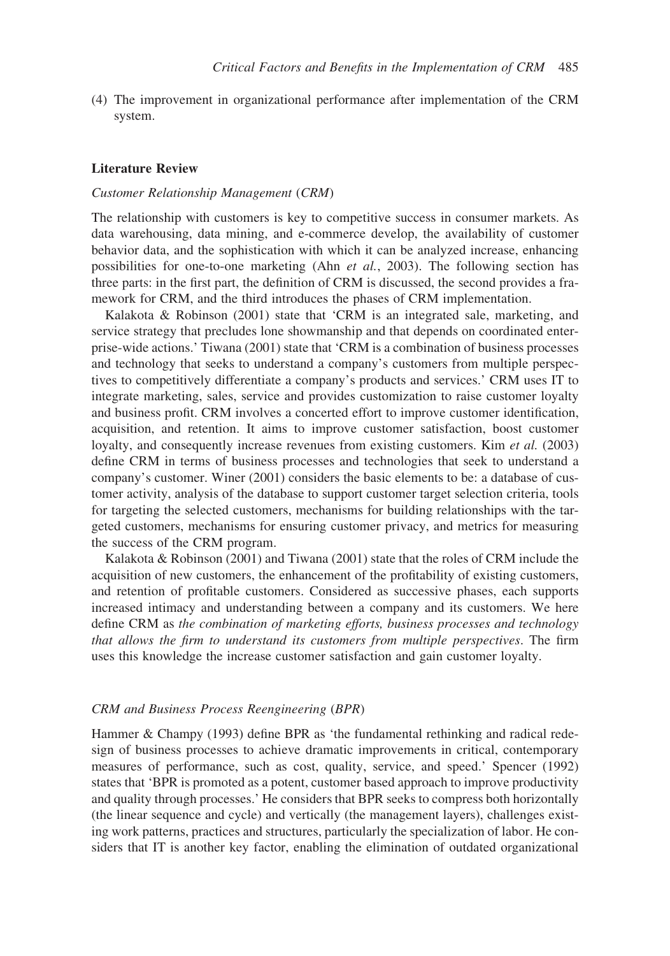(4) The improvement in organizational performance after implementation of the CRM system.

#### Literature Review

#### Customer Relationship Management (CRM)

The relationship with customers is key to competitive success in consumer markets. As data warehousing, data mining, and e-commerce develop, the availability of customer behavior data, and the sophistication with which it can be analyzed increase, enhancing possibilities for one-to-one marketing (Ahn et al., 2003). The following section has three parts: in the first part, the definition of CRM is discussed, the second provides a framework for CRM, and the third introduces the phases of CRM implementation.

Kalakota & Robinson (2001) state that 'CRM is an integrated sale, marketing, and service strategy that precludes lone showmanship and that depends on coordinated enterprise-wide actions.' Tiwana (2001) state that 'CRM is a combination of business processes and technology that seeks to understand a company's customers from multiple perspectives to competitively differentiate a company's products and services.' CRM uses IT to integrate marketing, sales, service and provides customization to raise customer loyalty and business profit. CRM involves a concerted effort to improve customer identification, acquisition, and retention. It aims to improve customer satisfaction, boost customer loyalty, and consequently increase revenues from existing customers. Kim et al. (2003) define CRM in terms of business processes and technologies that seek to understand a company's customer. Winer (2001) considers the basic elements to be: a database of customer activity, analysis of the database to support customer target selection criteria, tools for targeting the selected customers, mechanisms for building relationships with the targeted customers, mechanisms for ensuring customer privacy, and metrics for measuring the success of the CRM program.

Kalakota & Robinson (2001) and Tiwana (2001) state that the roles of CRM include the acquisition of new customers, the enhancement of the profitability of existing customers, and retention of profitable customers. Considered as successive phases, each supports increased intimacy and understanding between a company and its customers. We here define CRM as the combination of marketing efforts, business processes and technology that allows the firm to understand its customers from multiple perspectives. The firm uses this knowledge the increase customer satisfaction and gain customer loyalty.

#### CRM and Business Process Reengineering (BPR)

Hammer & Champy (1993) define BPR as 'the fundamental rethinking and radical redesign of business processes to achieve dramatic improvements in critical, contemporary measures of performance, such as cost, quality, service, and speed.' Spencer (1992) states that 'BPR is promoted as a potent, customer based approach to improve productivity and quality through processes.' He considers that BPR seeks to compress both horizontally (the linear sequence and cycle) and vertically (the management layers), challenges existing work patterns, practices and structures, particularly the specialization of labor. He considers that IT is another key factor, enabling the elimination of outdated organizational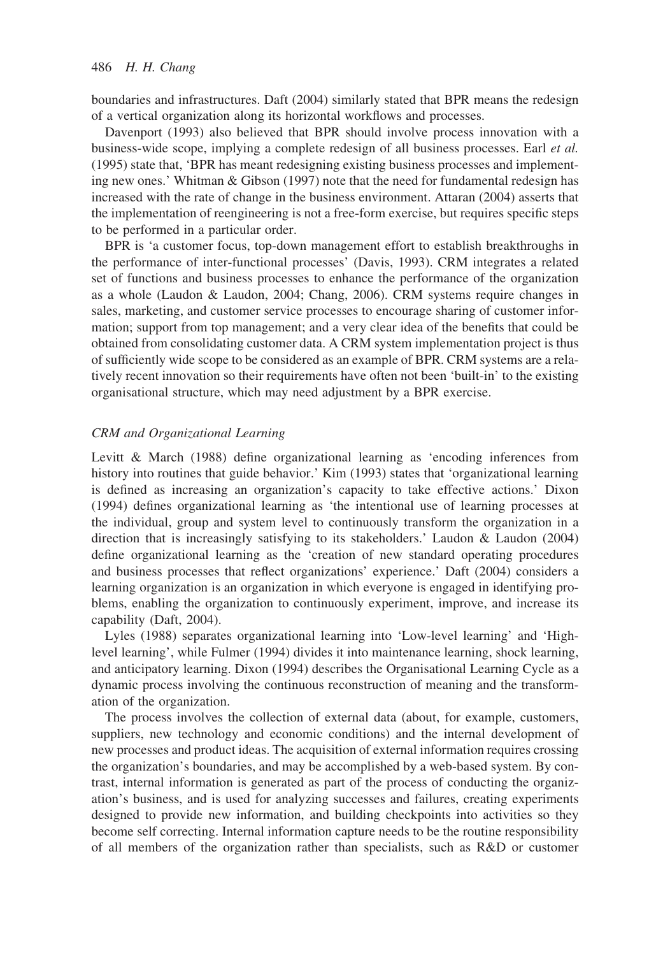boundaries and infrastructures. Daft (2004) similarly stated that BPR means the redesign of a vertical organization along its horizontal workflows and processes.

Davenport (1993) also believed that BPR should involve process innovation with a business-wide scope, implying a complete redesign of all business processes. Earl et al. (1995) state that, 'BPR has meant redesigning existing business processes and implementing new ones.' Whitman & Gibson (1997) note that the need for fundamental redesign has increased with the rate of change in the business environment. Attaran (2004) asserts that the implementation of reengineering is not a free-form exercise, but requires specific steps to be performed in a particular order.

BPR is 'a customer focus, top-down management effort to establish breakthroughs in the performance of inter-functional processes' (Davis, 1993). CRM integrates a related set of functions and business processes to enhance the performance of the organization as a whole (Laudon & Laudon, 2004; Chang, 2006). CRM systems require changes in sales, marketing, and customer service processes to encourage sharing of customer information; support from top management; and a very clear idea of the benefits that could be obtained from consolidating customer data. A CRM system implementation project is thus of sufficiently wide scope to be considered as an example of BPR. CRM systems are a relatively recent innovation so their requirements have often not been 'built-in' to the existing organisational structure, which may need adjustment by a BPR exercise.

## CRM and Organizational Learning

Levitt & March (1988) define organizational learning as 'encoding inferences from history into routines that guide behavior.' Kim (1993) states that 'organizational learning is defined as increasing an organization's capacity to take effective actions.' Dixon (1994) defines organizational learning as 'the intentional use of learning processes at the individual, group and system level to continuously transform the organization in a direction that is increasingly satisfying to its stakeholders.' Laudon & Laudon (2004) define organizational learning as the 'creation of new standard operating procedures and business processes that reflect organizations' experience.' Daft (2004) considers a learning organization is an organization in which everyone is engaged in identifying problems, enabling the organization to continuously experiment, improve, and increase its capability (Daft, 2004).

Lyles (1988) separates organizational learning into 'Low-level learning' and 'Highlevel learning', while Fulmer (1994) divides it into maintenance learning, shock learning, and anticipatory learning. Dixon (1994) describes the Organisational Learning Cycle as a dynamic process involving the continuous reconstruction of meaning and the transformation of the organization.

The process involves the collection of external data (about, for example, customers, suppliers, new technology and economic conditions) and the internal development of new processes and product ideas. The acquisition of external information requires crossing the organization's boundaries, and may be accomplished by a web-based system. By contrast, internal information is generated as part of the process of conducting the organization's business, and is used for analyzing successes and failures, creating experiments designed to provide new information, and building checkpoints into activities so they become self correcting. Internal information capture needs to be the routine responsibility of all members of the organization rather than specialists, such as R&D or customer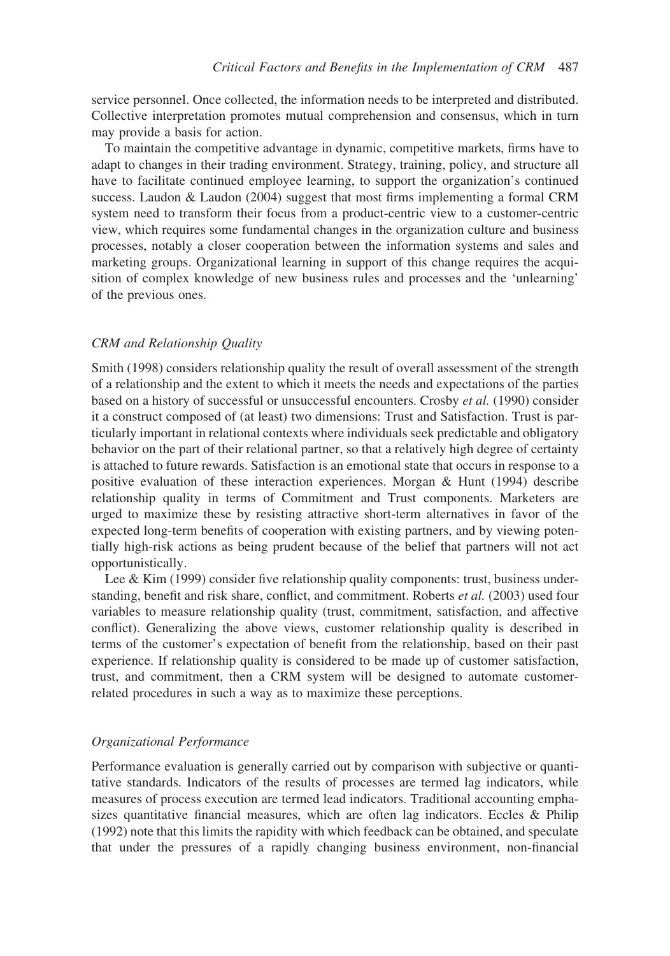service personnel. Once collected, the information needs to be interpreted and distributed. Collective interpretation promotes mutual comprehension and consensus, which in turn may provide a basis for action.

To maintain the competitive advantage in dynamic, competitive markets, firms have to adapt to changes in their trading environment. Strategy, training, policy, and structure all have to facilitate continued employee learning, to support the organization's continued success. Laudon & Laudon (2004) suggest that most firms implementing a formal CRM system need to transform their focus from a product-centric view to a customer-centric view, which requires some fundamental changes in the organization culture and business processes, notably a closer cooperation between the information systems and sales and marketing groups. Organizational learning in support of this change requires the acquisition of complex knowledge of new business rules and processes and the 'unlearning' of the previous ones.

#### CRM and Relationship Quality

Smith (1998) considers relationship quality the result of overall assessment of the strength of a relationship and the extent to which it meets the needs and expectations of the parties based on a history of successful or unsuccessful encounters. Crosby et al. (1990) consider it a construct composed of (at least) two dimensions: Trust and Satisfaction. Trust is particularly important in relational contexts where individuals seek predictable and obligatory behavior on the part of their relational partner, so that a relatively high degree of certainty is attached to future rewards. Satisfaction is an emotional state that occurs in response to a positive evaluation of these interaction experiences. Morgan & Hunt (1994) describe relationship quality in terms of Commitment and Trust components. Marketers are urged to maximize these by resisting attractive short-term alternatives in favor of the expected long-term benefits of cooperation with existing partners, and by viewing potentially high-risk actions as being prudent because of the belief that partners will not act opportunistically.

Lee & Kim (1999) consider five relationship quality components: trust, business understanding, benefit and risk share, conflict, and commitment. Roberts et al. (2003) used four variables to measure relationship quality (trust, commitment, satisfaction, and affective conflict). Generalizing the above views, customer relationship quality is described in terms of the customer's expectation of benefit from the relationship, based on their past experience. If relationship quality is considered to be made up of customer satisfaction, trust, and commitment, then a CRM system will be designed to automate customerrelated procedures in such a way as to maximize these perceptions.

#### Organizational Performance

Performance evaluation is generally carried out by comparison with subjective or quantitative standards. Indicators of the results of processes are termed lag indicators, while measures of process execution are termed lead indicators. Traditional accounting emphasizes quantitative financial measures, which are often lag indicators. Eccles  $\&$  Philip (1992) note that this limits the rapidity with which feedback can be obtained, and speculate that under the pressures of a rapidly changing business environment, non-financial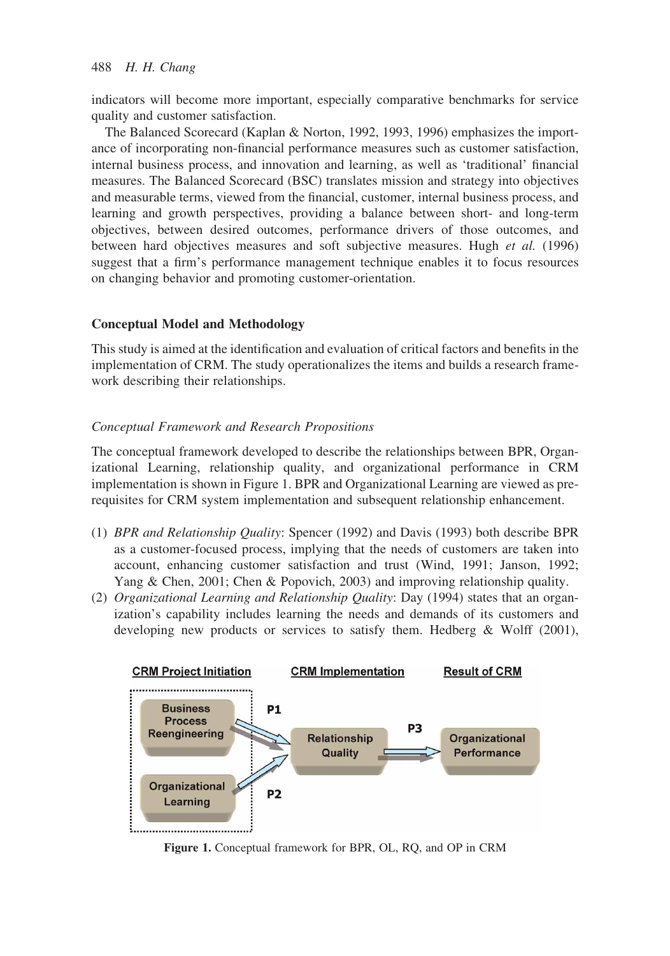indicators will become more important, especially comparative benchmarks for service quality and customer satisfaction.

The Balanced Scorecard (Kaplan & Norton, 1992, 1993, 1996) emphasizes the importance of incorporating non-financial performance measures such as customer satisfaction, internal business process, and innovation and learning, as well as 'traditional' financial measures. The Balanced Scorecard (BSC) translates mission and strategy into objectives and measurable terms, viewed from the financial, customer, internal business process, and learning and growth perspectives, providing a balance between short- and long-term objectives, between desired outcomes, performance drivers of those outcomes, and between hard objectives measures and soft subjective measures. Hugh et al. (1996) suggest that a firm's performance management technique enables it to focus resources on changing behavior and promoting customer-orientation.

# Conceptual Model and Methodology

This study is aimed at the identification and evaluation of critical factors and benefits in the implementation of CRM. The study operationalizes the items and builds a research framework describing their relationships.

## Conceptual Framework and Research Propositions

The conceptual framework developed to describe the relationships between BPR, Organizational Learning, relationship quality, and organizational performance in CRM implementation is shown in Figure 1. BPR and Organizational Learning are viewed as prerequisites for CRM system implementation and subsequent relationship enhancement.

- (1) BPR and Relationship Quality: Spencer (1992) and Davis (1993) both describe BPR as a customer-focused process, implying that the needs of customers are taken into account, enhancing customer satisfaction and trust (Wind, 1991; Janson, 1992; Yang & Chen, 2001; Chen & Popovich, 2003) and improving relationship quality.
- (2) Organizational Learning and Relationship Quality: Day (1994) states that an organization's capability includes learning the needs and demands of its customers and developing new products or services to satisfy them. Hedberg & Wolff (2001),



Figure 1. Conceptual framework for BPR, OL, RQ, and OP in CRM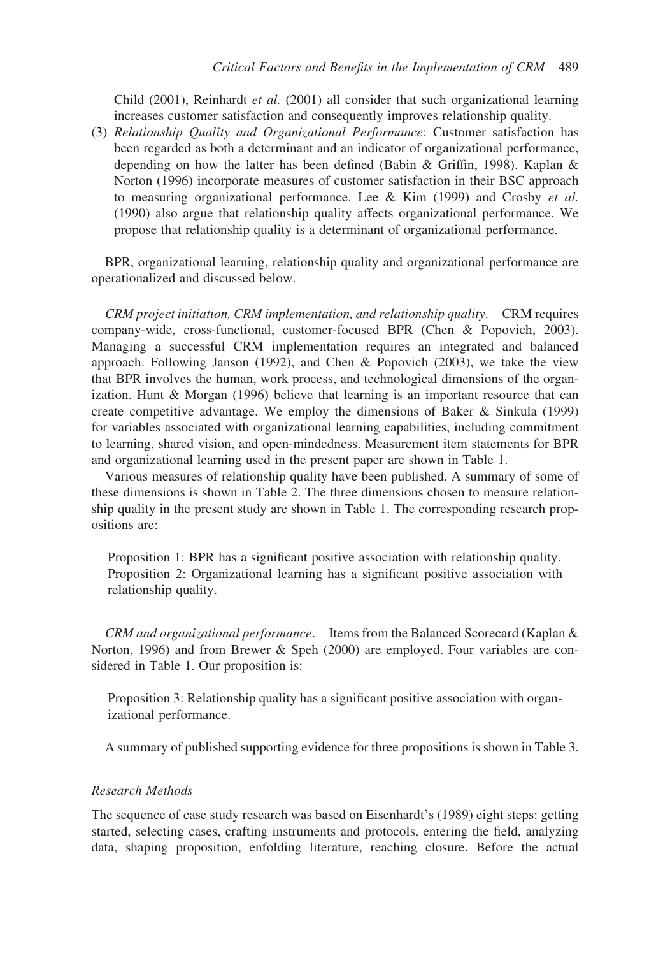Child  $(2001)$ , Reinhardt *et al.*  $(2001)$  all consider that such organizational learning increases customer satisfaction and consequently improves relationship quality.

(3) Relationship Quality and Organizational Performance: Customer satisfaction has been regarded as both a determinant and an indicator of organizational performance, depending on how the latter has been defined (Babin & Griffin, 1998). Kaplan & Norton (1996) incorporate measures of customer satisfaction in their BSC approach to measuring organizational performance. Lee & Kim (1999) and Crosby et al. (1990) also argue that relationship quality affects organizational performance. We propose that relationship quality is a determinant of organizational performance.

BPR, organizational learning, relationship quality and organizational performance are operationalized and discussed below.

CRM project initiation, CRM implementation, and relationship quality. CRM requires company-wide, cross-functional, customer-focused BPR (Chen & Popovich, 2003). Managing a successful CRM implementation requires an integrated and balanced approach. Following Janson (1992), and Chen & Popovich (2003), we take the view that BPR involves the human, work process, and technological dimensions of the organization. Hunt & Morgan (1996) believe that learning is an important resource that can create competitive advantage. We employ the dimensions of Baker & Sinkula (1999) for variables associated with organizational learning capabilities, including commitment to learning, shared vision, and open-mindedness. Measurement item statements for BPR and organizational learning used in the present paper are shown in Table 1.

Various measures of relationship quality have been published. A summary of some of these dimensions is shown in Table 2. The three dimensions chosen to measure relationship quality in the present study are shown in Table 1. The corresponding research propositions are:

Proposition 1: BPR has a significant positive association with relationship quality. Proposition 2: Organizational learning has a significant positive association with relationship quality.

CRM and organizational performance. Items from the Balanced Scorecard (Kaplan & Norton, 1996) and from Brewer & Speh (2000) are employed. Four variables are considered in Table 1. Our proposition is:

Proposition 3: Relationship quality has a significant positive association with organizational performance.

A summary of published supporting evidence for three propositions is shown in Table 3.

## Research Methods

The sequence of case study research was based on Eisenhardt's (1989) eight steps: getting started, selecting cases, crafting instruments and protocols, entering the field, analyzing data, shaping proposition, enfolding literature, reaching closure. Before the actual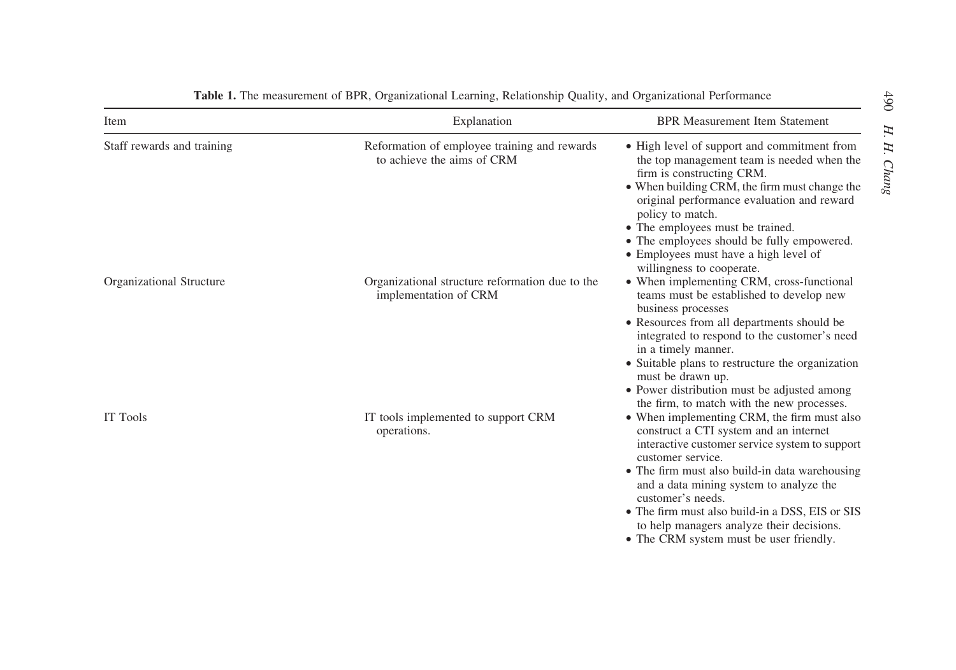| Item                       | Explanation                                                                | <b>BPR Measurement Item Statement</b>                                                                                                                                                                                                                                                                                                                                                                                     |
|----------------------------|----------------------------------------------------------------------------|---------------------------------------------------------------------------------------------------------------------------------------------------------------------------------------------------------------------------------------------------------------------------------------------------------------------------------------------------------------------------------------------------------------------------|
| Staff rewards and training | Reformation of employee training and rewards<br>to achieve the aims of CRM | • High level of support and commitment from<br>the top management team is needed when the<br>firm is constructing CRM.<br>• When building CRM, the firm must change the<br>original performance evaluation and reward<br>policy to match.<br>• The employees must be trained.<br>• The employees should be fully empowered.<br>• Employees must have a high level of<br>willingness to cooperate.                         |
| Organizational Structure   | Organizational structure reformation due to the<br>implementation of CRM   | • When implementing CRM, cross-functional<br>teams must be established to develop new<br>business processes<br>• Resources from all departments should be<br>integrated to respond to the customer's need<br>in a timely manner.<br>• Suitable plans to restructure the organization<br>must be drawn up.<br>• Power distribution must be adjusted among<br>the firm, to match with the new processes.                    |
| IT Tools                   | IT tools implemented to support CRM<br>operations.                         | • When implementing CRM, the firm must also<br>construct a CTI system and an internet<br>interactive customer service system to support<br>customer service.<br>• The firm must also build-in data warehousing<br>and a data mining system to analyze the<br>customer's needs.<br>• The firm must also build-in a DSS, EIS or SIS<br>to help managers analyze their decisions.<br>• The CRM system must be user friendly. |

#### Table 1. The measurement of BPR, Organizational Learning, Relationship Quality, and Organizational Performance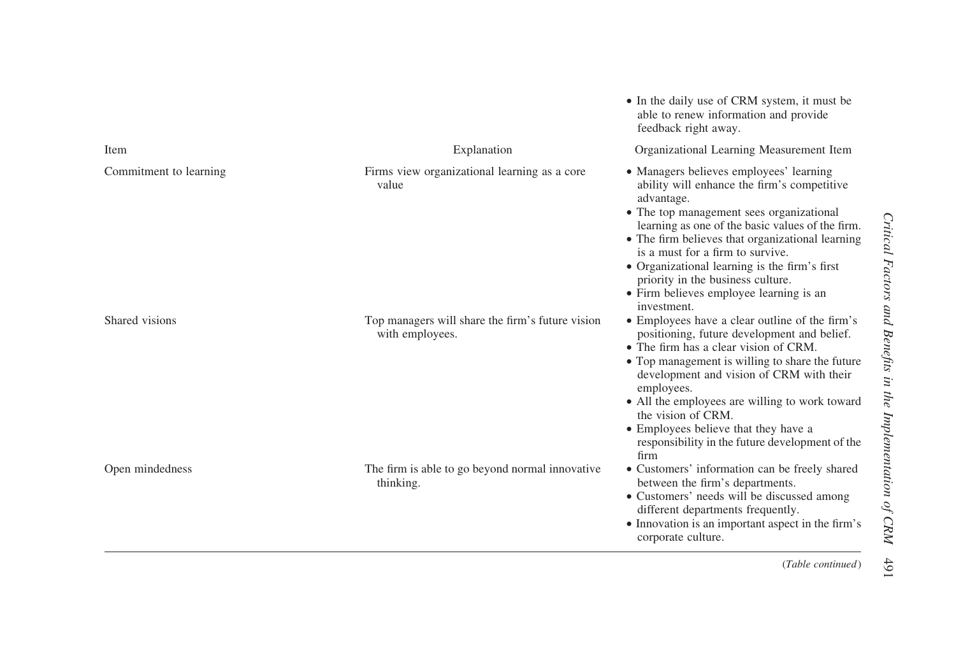|                        |                                                                     | able to fellew information and provide<br>feedback right away.                                                                                                                                                                                                                                                                                                                                                                               |
|------------------------|---------------------------------------------------------------------|----------------------------------------------------------------------------------------------------------------------------------------------------------------------------------------------------------------------------------------------------------------------------------------------------------------------------------------------------------------------------------------------------------------------------------------------|
| Item                   | Explanation                                                         | Organizational Learning Measurement Item                                                                                                                                                                                                                                                                                                                                                                                                     |
| Commitment to learning | Firms view organizational learning as a core<br>value               | • Managers believes employees' learning<br>ability will enhance the firm's competitive<br>advantage.<br>• The top management sees organizational<br>learning as one of the basic values of the firm.<br>• The firm believes that organizational learning<br>is a must for a firm to survive.<br>• Organizational learning is the firm's first<br>priority in the business culture.<br>• Firm believes employee learning is an<br>investment. |
| Shared visions         | Top managers will share the firm's future vision<br>with employees. | • Employees have a clear outline of the firm's<br>positioning, future development and belief.<br>• The firm has a clear vision of CRM.<br>• Top management is willing to share the future<br>development and vision of CRM with their<br>employees.<br>• All the employees are willing to work toward<br>the vision of CRM.<br>• Employees believe that they have a<br>responsibility in the future development of the<br>firm               |
| Open mindedness        | The firm is able to go beyond normal innovative.<br>thinking.       | • Customers' information can be freely shared<br>between the firm's departments.<br>• Customers' needs will be discussed among<br>different departments frequently.<br>• Innovation is an important aspect in the firm's<br>corporate culture.                                                                                                                                                                                               |

• In the daily use of CRM system, it must be able to renew information and provide

(Table continued)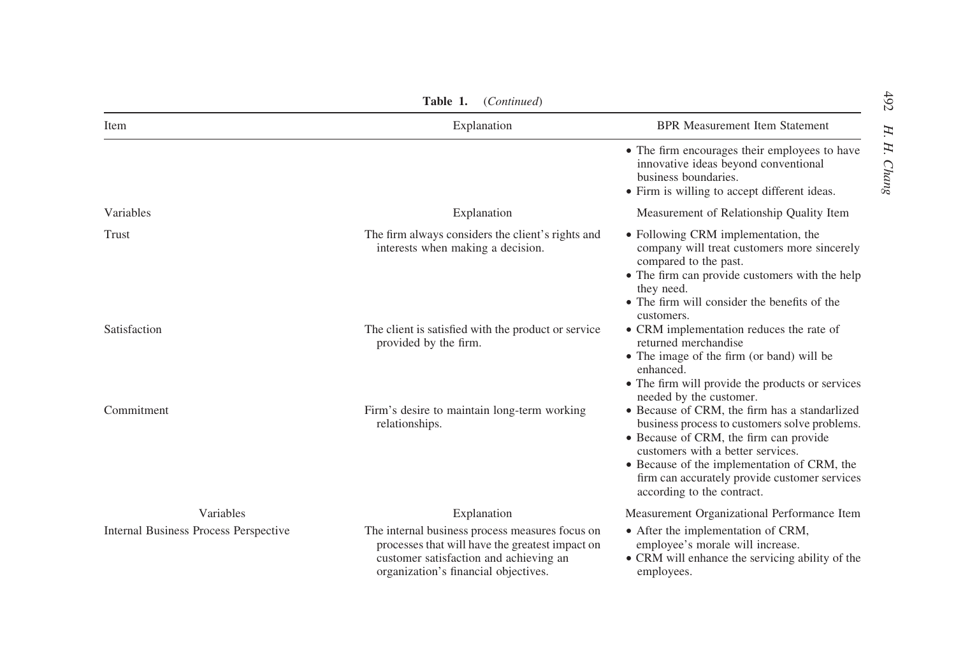| Table 1.<br>(Continued)               |                                                                                                                                                                                      |                                                                                                                                                                                                                                                                                                             |  |  |
|---------------------------------------|--------------------------------------------------------------------------------------------------------------------------------------------------------------------------------------|-------------------------------------------------------------------------------------------------------------------------------------------------------------------------------------------------------------------------------------------------------------------------------------------------------------|--|--|
| Item                                  | Explanation                                                                                                                                                                          | <b>BPR Measurement Item Statement</b>                                                                                                                                                                                                                                                                       |  |  |
|                                       |                                                                                                                                                                                      | • The firm encourages their employees to have<br>innovative ideas beyond conventional<br>business boundaries.<br>• Firm is willing to accept different ideas.                                                                                                                                               |  |  |
| Variables                             | Explanation                                                                                                                                                                          | Measurement of Relationship Quality Item                                                                                                                                                                                                                                                                    |  |  |
| Trust                                 | The firm always considers the client's rights and<br>interests when making a decision.                                                                                               | • Following CRM implementation, the<br>company will treat customers more sincerely<br>compared to the past.<br>• The firm can provide customers with the help<br>they need.<br>• The firm will consider the benefits of the<br>customers.                                                                   |  |  |
| Satisfaction                          | The client is satisfied with the product or service<br>provided by the firm.                                                                                                         | • CRM implementation reduces the rate of<br>returned merchandise<br>• The image of the firm (or band) will be<br>enhanced.<br>• The firm will provide the products or services<br>needed by the customer.                                                                                                   |  |  |
| Commitment                            | Firm's desire to maintain long-term working<br>relationships.                                                                                                                        | • Because of CRM, the firm has a standarlized<br>business process to customers solve problems.<br>• Because of CRM, the firm can provide<br>customers with a better services.<br>• Because of the implementation of CRM, the<br>firm can accurately provide customer services<br>according to the contract. |  |  |
| Variables                             | Explanation                                                                                                                                                                          | Measurement Organizational Performance Item                                                                                                                                                                                                                                                                 |  |  |
| Internal Business Process Perspective | The internal business process measures focus on<br>processes that will have the greatest impact on<br>customer satisfaction and achieving an<br>organization's financial objectives. | • After the implementation of CRM,<br>employee's morale will increase.<br>• CRM will enhance the servicing ability of the<br>employees.                                                                                                                                                                     |  |  |

Table 1. $(C_1, \ldots, C_n)$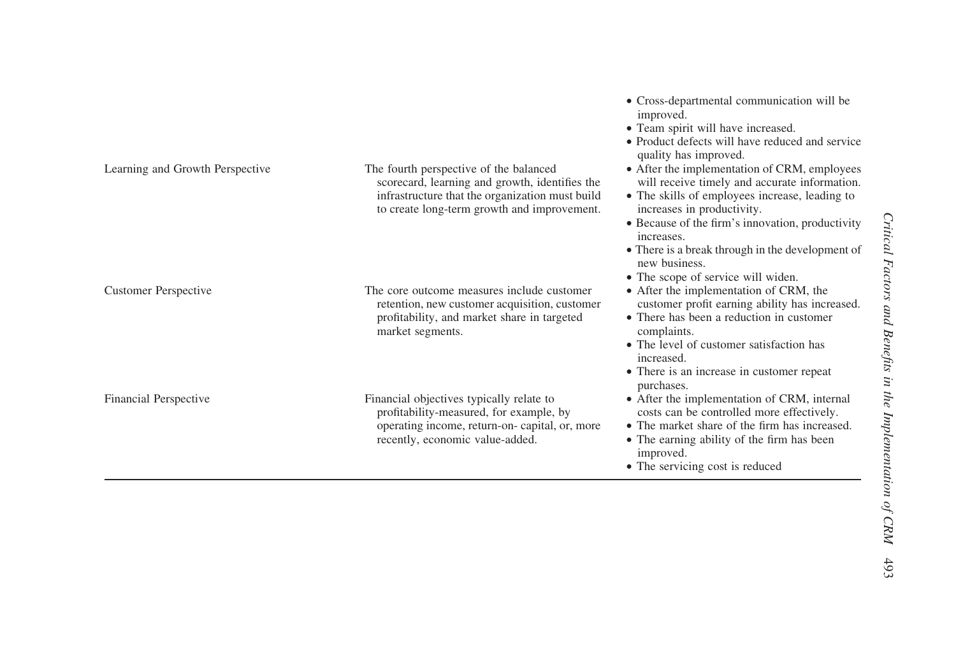|                                 |                                                                                                                                                                                            | improved.<br>• Team spirit will have increased.<br>• Product defects will have reduced and service<br>quality has improved.                                                               |
|---------------------------------|--------------------------------------------------------------------------------------------------------------------------------------------------------------------------------------------|-------------------------------------------------------------------------------------------------------------------------------------------------------------------------------------------|
| Learning and Growth Perspective | The fourth perspective of the balanced<br>scorecard, learning and growth, identifies the<br>infrastructure that the organization must build<br>to create long-term growth and improvement. | • After the implementation of CRM, employees<br>will receive timely and accurate information.<br>• The skills of employees increase, leading to<br>increases in productivity.             |
|                                 |                                                                                                                                                                                            | • Because of the firm's innovation, productivity<br>increases.                                                                                                                            |
|                                 |                                                                                                                                                                                            | • There is a break through in the development of<br>new business.                                                                                                                         |
| <b>Customer Perspective</b>     | The core outcome measures include customer<br>retention, new customer acquisition, customer<br>profitability, and market share in targeted<br>market segments.                             | • The scope of service will widen.<br>• After the implementation of CRM, the<br>customer profit earning ability has increased.<br>• There has been a reduction in customer<br>complaints. |
|                                 |                                                                                                                                                                                            | • The level of customer satisfaction has<br>increased.<br>• There is an increase in customer repeat                                                                                       |
| Financial Perspective           | Financial objectives typically relate to                                                                                                                                                   | purchases.<br>• After the implementation of CRM, internal                                                                                                                                 |
|                                 | profitability-measured, for example, by<br>operating income, return-on-capital, or, more<br>recently, economic value-added.                                                                | costs can be controlled more effectively.<br>• The market share of the firm has increased.<br>• The earning ability of the firm has been<br>improved.<br>• The servicing cost is reduced  |

† Cross-departmental communication will be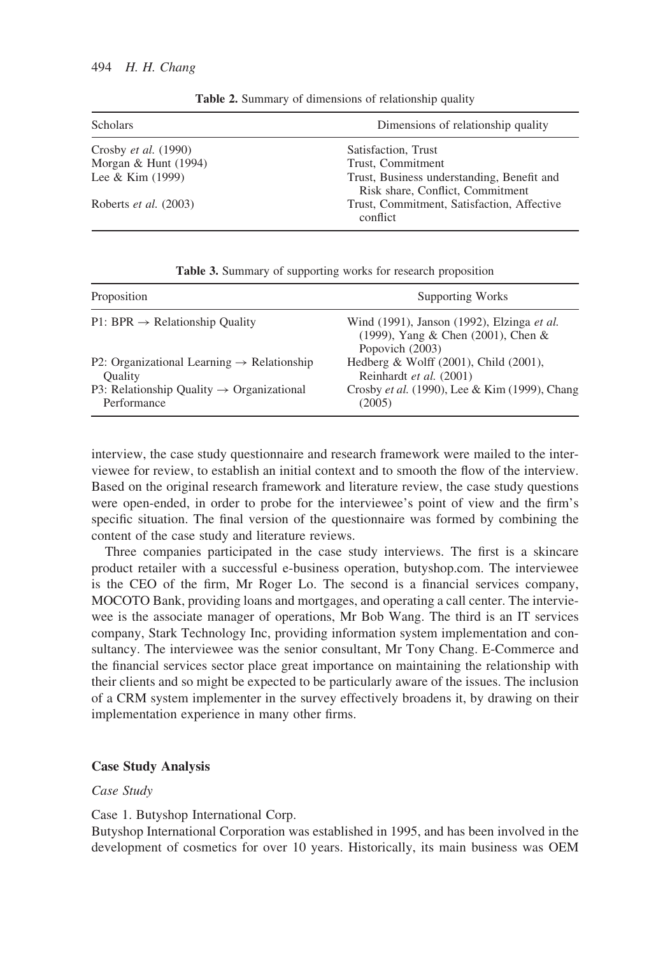| <b>Scholars</b>             | Dimensions of relationship quality                                             |  |
|-----------------------------|--------------------------------------------------------------------------------|--|
| Crosby <i>et al.</i> (1990) | Satisfaction, Trust                                                            |  |
| Morgan & Hunt (1994)        | Trust, Commitment                                                              |  |
| Lee & Kim (1999)            | Trust, Business understanding, Benefit and<br>Risk share, Conflict, Commitment |  |
| Roberts et al. (2003)       | Trust, Commitment, Satisfaction, Affective<br>conflict                         |  |

Table 2. Summary of dimensions of relationship quality

| Proposition                                            | Supporting Works                                                                                    |
|--------------------------------------------------------|-----------------------------------------------------------------------------------------------------|
| $P1: BPR \rightarrow Relationship Quality$             | Wind (1991), Janson (1992), Elzinga et al.<br>(1999), Yang & Chen (2001), Chen &<br>Popovich (2003) |
| P2: Organizational Learning $\rightarrow$ Relationship | Hedberg & Wolff $(2001)$ , Child $(2001)$ ,                                                         |
| <b>Ouality</b>                                         | Reinhardt et al. (2001)                                                                             |
| P3: Relationship Quality $\rightarrow$ Organizational  | Crosby et al. (1990), Lee & Kim (1999), Chang                                                       |
| Performance                                            | (2005)                                                                                              |

Table 3. Summary of supporting works for research proposition

interview, the case study questionnaire and research framework were mailed to the interviewee for review, to establish an initial context and to smooth the flow of the interview. Based on the original research framework and literature review, the case study questions were open-ended, in order to probe for the interviewee's point of view and the firm's specific situation. The final version of the questionnaire was formed by combining the content of the case study and literature reviews.

Three companies participated in the case study interviews. The first is a skincare product retailer with a successful e-business operation, butyshop.com. The interviewee is the CEO of the firm, Mr Roger Lo. The second is a financial services company, MOCOTO Bank, providing loans and mortgages, and operating a call center. The interviewee is the associate manager of operations, Mr Bob Wang. The third is an IT services company, Stark Technology Inc, providing information system implementation and consultancy. The interviewee was the senior consultant, Mr Tony Chang. E-Commerce and the financial services sector place great importance on maintaining the relationship with their clients and so might be expected to be particularly aware of the issues. The inclusion of a CRM system implementer in the survey effectively broadens it, by drawing on their implementation experience in many other firms.

#### Case Study Analysis

## Case Study

## Case 1. Butyshop International Corp.

Butyshop International Corporation was established in 1995, and has been involved in the development of cosmetics for over 10 years. Historically, its main business was OEM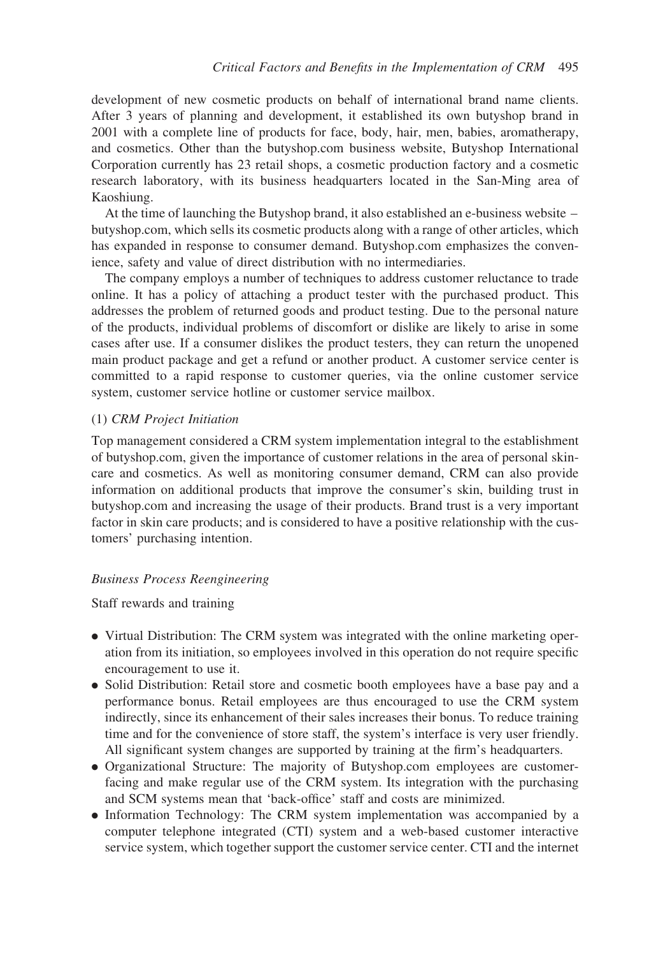development of new cosmetic products on behalf of international brand name clients. After 3 years of planning and development, it established its own butyshop brand in 2001 with a complete line of products for face, body, hair, men, babies, aromatherapy, and cosmetics. Other than the butyshop.com business website, Butyshop International Corporation currently has 23 retail shops, a cosmetic production factory and a cosmetic research laboratory, with its business headquarters located in the San-Ming area of Kaoshiung.

At the time of launching the Butyshop brand, it also established an e-business website – butyshop.com, which sells its cosmetic products along with a range of other articles, which has expanded in response to consumer demand. Butyshop.com emphasizes the convenience, safety and value of direct distribution with no intermediaries.

The company employs a number of techniques to address customer reluctance to trade online. It has a policy of attaching a product tester with the purchased product. This addresses the problem of returned goods and product testing. Due to the personal nature of the products, individual problems of discomfort or dislike are likely to arise in some cases after use. If a consumer dislikes the product testers, they can return the unopened main product package and get a refund or another product. A customer service center is committed to a rapid response to customer queries, via the online customer service system, customer service hotline or customer service mailbox.

## (1) CRM Project Initiation

Top management considered a CRM system implementation integral to the establishment of butyshop.com, given the importance of customer relations in the area of personal skincare and cosmetics. As well as monitoring consumer demand, CRM can also provide information on additional products that improve the consumer's skin, building trust in butyshop.com and increasing the usage of their products. Brand trust is a very important factor in skin care products; and is considered to have a positive relationship with the customers' purchasing intention.

#### Business Process Reengineering

## Staff rewards and training

- . Virtual Distribution: The CRM system was integrated with the online marketing operation from its initiation, so employees involved in this operation do not require specific encouragement to use it.
- . Solid Distribution: Retail store and cosmetic booth employees have a base pay and a performance bonus. Retail employees are thus encouraged to use the CRM system indirectly, since its enhancement of their sales increases their bonus. To reduce training time and for the convenience of store staff, the system's interface is very user friendly. All significant system changes are supported by training at the firm's headquarters.
- . Organizational Structure: The majority of Butyshop.com employees are customerfacing and make regular use of the CRM system. Its integration with the purchasing and SCM systems mean that 'back-office' staff and costs are minimized.
- . Information Technology: The CRM system implementation was accompanied by a computer telephone integrated (CTI) system and a web-based customer interactive service system, which together support the customer service center. CTI and the internet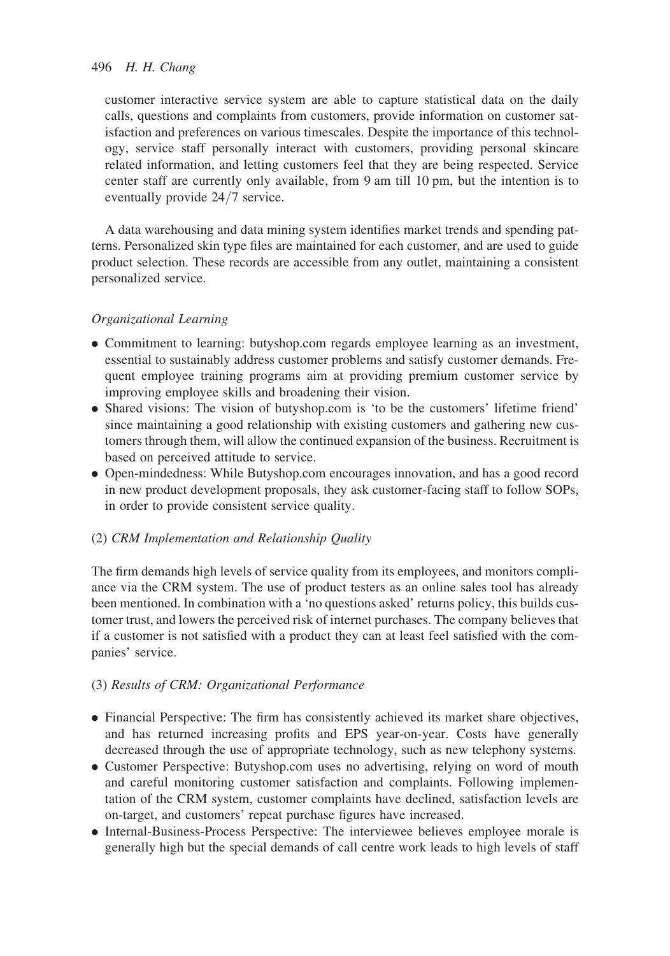customer interactive service system are able to capture statistical data on the daily calls, questions and complaints from customers, provide information on customer satisfaction and preferences on various timescales. Despite the importance of this technology, service staff personally interact with customers, providing personal skincare related information, and letting customers feel that they are being respected. Service center staff are currently only available, from 9 am till 10 pm, but the intention is to eventually provide 24/7 service.

A data warehousing and data mining system identifies market trends and spending patterns. Personalized skin type files are maintained for each customer, and are used to guide product selection. These records are accessible from any outlet, maintaining a consistent personalized service.

# Organizational Learning

- . Commitment to learning: butyshop.com regards employee learning as an investment, essential to sustainably address customer problems and satisfy customer demands. Frequent employee training programs aim at providing premium customer service by improving employee skills and broadening their vision.
- . Shared visions: The vision of butyshop.com is 'to be the customers' lifetime friend' since maintaining a good relationship with existing customers and gathering new customers through them, will allow the continued expansion of the business. Recruitment is based on perceived attitude to service.
- . Open-mindedness: While Butyshop.com encourages innovation, and has a good record in new product development proposals, they ask customer-facing staff to follow SOPs, in order to provide consistent service quality.

# (2) CRM Implementation and Relationship Quality

The firm demands high levels of service quality from its employees, and monitors compliance via the CRM system. The use of product testers as an online sales tool has already been mentioned. In combination with a 'no questions asked' returns policy, this builds customer trust, and lowers the perceived risk of internet purchases. The company believes that if a customer is not satisfied with a product they can at least feel satisfied with the companies' service.

## (3) Results of CRM: Organizational Performance

- . Financial Perspective: The firm has consistently achieved its market share objectives, and has returned increasing profits and EPS year-on-year. Costs have generally decreased through the use of appropriate technology, such as new telephony systems.
- . Customer Perspective: Butyshop.com uses no advertising, relying on word of mouth and careful monitoring customer satisfaction and complaints. Following implementation of the CRM system, customer complaints have declined, satisfaction levels are on-target, and customers' repeat purchase figures have increased.
- . Internal-Business-Process Perspective: The interviewee believes employee morale is generally high but the special demands of call centre work leads to high levels of staff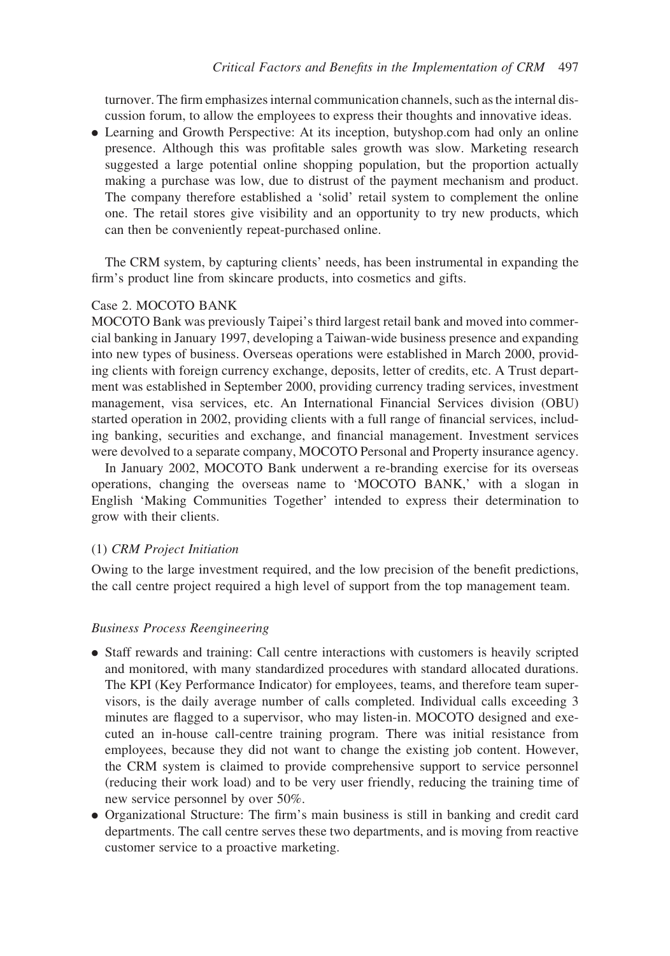turnover. The firm emphasizes internal communication channels, such as the internal discussion forum, to allow the employees to express their thoughts and innovative ideas.

. Learning and Growth Perspective: At its inception, butyshop.com had only an online presence. Although this was profitable sales growth was slow. Marketing research suggested a large potential online shopping population, but the proportion actually making a purchase was low, due to distrust of the payment mechanism and product. The company therefore established a 'solid' retail system to complement the online one. The retail stores give visibility and an opportunity to try new products, which can then be conveniently repeat-purchased online.

The CRM system, by capturing clients' needs, has been instrumental in expanding the firm's product line from skincare products, into cosmetics and gifts.

## Case 2. MOCOTO BANK

MOCOTO Bank was previously Taipei's third largest retail bank and moved into commercial banking in January 1997, developing a Taiwan-wide business presence and expanding into new types of business. Overseas operations were established in March 2000, providing clients with foreign currency exchange, deposits, letter of credits, etc. A Trust department was established in September 2000, providing currency trading services, investment management, visa services, etc. An International Financial Services division (OBU) started operation in 2002, providing clients with a full range of financial services, including banking, securities and exchange, and financial management. Investment services were devolved to a separate company, MOCOTO Personal and Property insurance agency.

In January 2002, MOCOTO Bank underwent a re-branding exercise for its overseas operations, changing the overseas name to 'MOCOTO BANK,' with a slogan in English 'Making Communities Together' intended to express their determination to grow with their clients.

## (1) CRM Project Initiation

Owing to the large investment required, and the low precision of the benefit predictions, the call centre project required a high level of support from the top management team.

#### Business Process Reengineering

- . Staff rewards and training: Call centre interactions with customers is heavily scripted and monitored, with many standardized procedures with standard allocated durations. The KPI (Key Performance Indicator) for employees, teams, and therefore team supervisors, is the daily average number of calls completed. Individual calls exceeding 3 minutes are flagged to a supervisor, who may listen-in. MOCOTO designed and executed an in-house call-centre training program. There was initial resistance from employees, because they did not want to change the existing job content. However, the CRM system is claimed to provide comprehensive support to service personnel (reducing their work load) and to be very user friendly, reducing the training time of new service personnel by over 50%.
- . Organizational Structure: The firm's main business is still in banking and credit card departments. The call centre serves these two departments, and is moving from reactive customer service to a proactive marketing.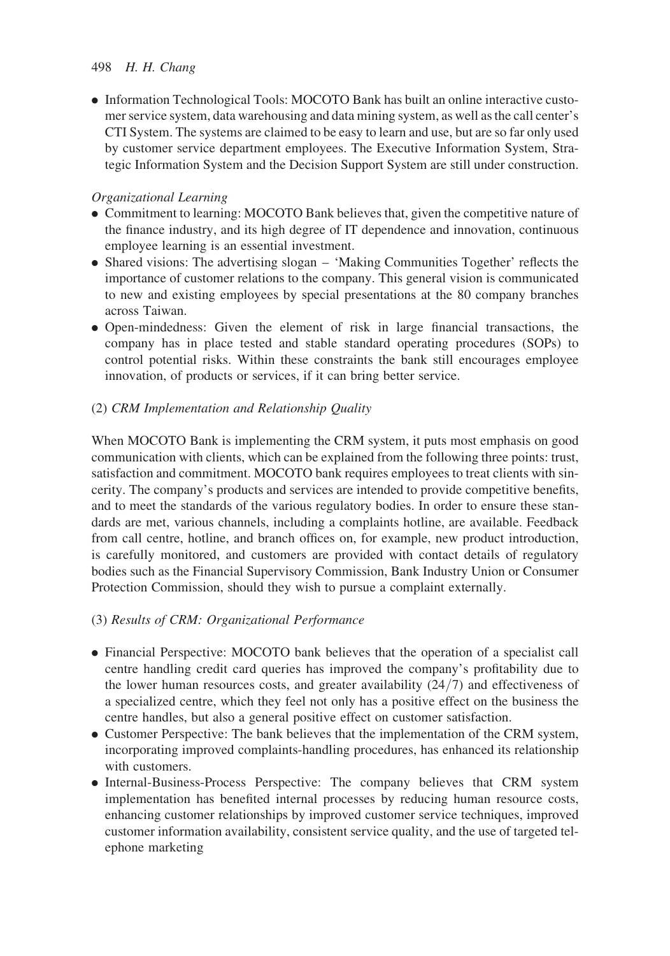. Information Technological Tools: MOCOTO Bank has built an online interactive customer service system, data warehousing and data mining system, as well as the call center's CTI System. The systems are claimed to be easy to learn and use, but are so far only used by customer service department employees. The Executive Information System, Strategic Information System and the Decision Support System are still under construction.

# Organizational Learning

- . Commitment to learning: MOCOTO Bank believes that, given the competitive nature of the finance industry, and its high degree of IT dependence and innovation, continuous employee learning is an essential investment.
- . Shared visions: The advertising slogan 'Making Communities Together' reflects the importance of customer relations to the company. This general vision is communicated to new and existing employees by special presentations at the 80 company branches across Taiwan.
- . Open-mindedness: Given the element of risk in large financial transactions, the company has in place tested and stable standard operating procedures (SOPs) to control potential risks. Within these constraints the bank still encourages employee innovation, of products or services, if it can bring better service.

# (2) CRM Implementation and Relationship Quality

When MOCOTO Bank is implementing the CRM system, it puts most emphasis on good communication with clients, which can be explained from the following three points: trust, satisfaction and commitment. MOCOTO bank requires employees to treat clients with sincerity. The company's products and services are intended to provide competitive benefits, and to meet the standards of the various regulatory bodies. In order to ensure these standards are met, various channels, including a complaints hotline, are available. Feedback from call centre, hotline, and branch offices on, for example, new product introduction, is carefully monitored, and customers are provided with contact details of regulatory bodies such as the Financial Supervisory Commission, Bank Industry Union or Consumer Protection Commission, should they wish to pursue a complaint externally.

# (3) Results of CRM: Organizational Performance

- . Financial Perspective: MOCOTO bank believes that the operation of a specialist call centre handling credit card queries has improved the company's profitability due to the lower human resources costs, and greater availability (24/7) and effectiveness of a specialized centre, which they feel not only has a positive effect on the business the centre handles, but also a general positive effect on customer satisfaction.
- . Customer Perspective: The bank believes that the implementation of the CRM system, incorporating improved complaints-handling procedures, has enhanced its relationship with customers.
- . Internal-Business-Process Perspective: The company believes that CRM system implementation has benefited internal processes by reducing human resource costs, enhancing customer relationships by improved customer service techniques, improved customer information availability, consistent service quality, and the use of targeted telephone marketing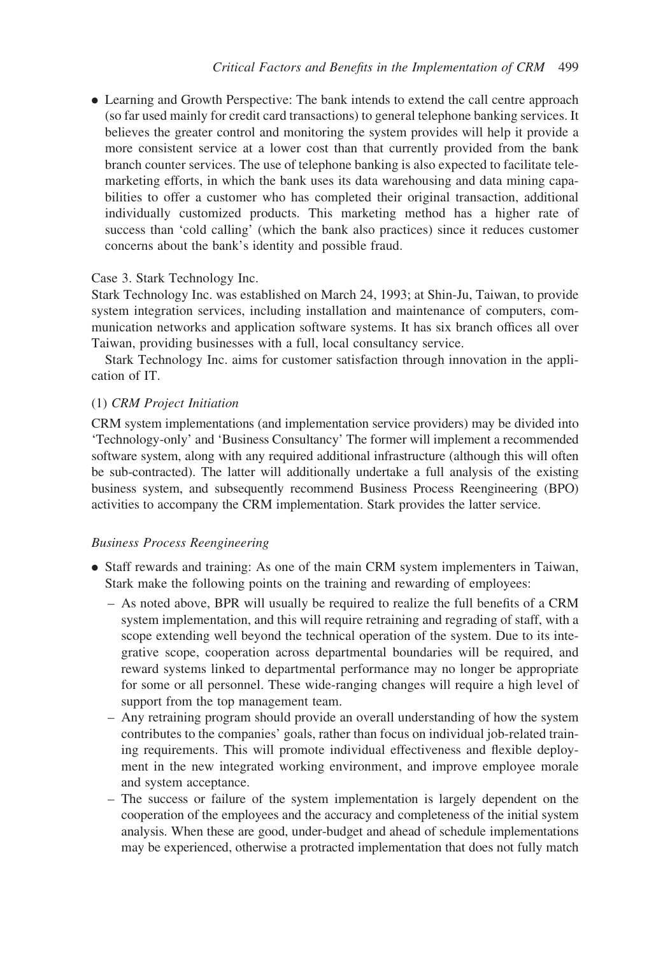. Learning and Growth Perspective: The bank intends to extend the call centre approach (so far used mainly for credit card transactions) to general telephone banking services. It believes the greater control and monitoring the system provides will help it provide a more consistent service at a lower cost than that currently provided from the bank branch counter services. The use of telephone banking is also expected to facilitate telemarketing efforts, in which the bank uses its data warehousing and data mining capabilities to offer a customer who has completed their original transaction, additional individually customized products. This marketing method has a higher rate of success than 'cold calling' (which the bank also practices) since it reduces customer concerns about the bank's identity and possible fraud.

## Case 3. Stark Technology Inc.

Stark Technology Inc. was established on March 24, 1993; at Shin-Ju, Taiwan, to provide system integration services, including installation and maintenance of computers, communication networks and application software systems. It has six branch offices all over Taiwan, providing businesses with a full, local consultancy service.

Stark Technology Inc. aims for customer satisfaction through innovation in the application of IT.

## (1) CRM Project Initiation

CRM system implementations (and implementation service providers) may be divided into 'Technology-only' and 'Business Consultancy' The former will implement a recommended software system, along with any required additional infrastructure (although this will often be sub-contracted). The latter will additionally undertake a full analysis of the existing business system, and subsequently recommend Business Process Reengineering (BPO) activities to accompany the CRM implementation. Stark provides the latter service.

## Business Process Reengineering

- . Staff rewards and training: As one of the main CRM system implementers in Taiwan, Stark make the following points on the training and rewarding of employees:
	- As noted above, BPR will usually be required to realize the full benefits of a CRM system implementation, and this will require retraining and regrading of staff, with a scope extending well beyond the technical operation of the system. Due to its integrative scope, cooperation across departmental boundaries will be required, and reward systems linked to departmental performance may no longer be appropriate for some or all personnel. These wide-ranging changes will require a high level of support from the top management team.
	- Any retraining program should provide an overall understanding of how the system contributes to the companies' goals, rather than focus on individual job-related training requirements. This will promote individual effectiveness and flexible deployment in the new integrated working environment, and improve employee morale and system acceptance.
	- The success or failure of the system implementation is largely dependent on the cooperation of the employees and the accuracy and completeness of the initial system analysis. When these are good, under-budget and ahead of schedule implementations may be experienced, otherwise a protracted implementation that does not fully match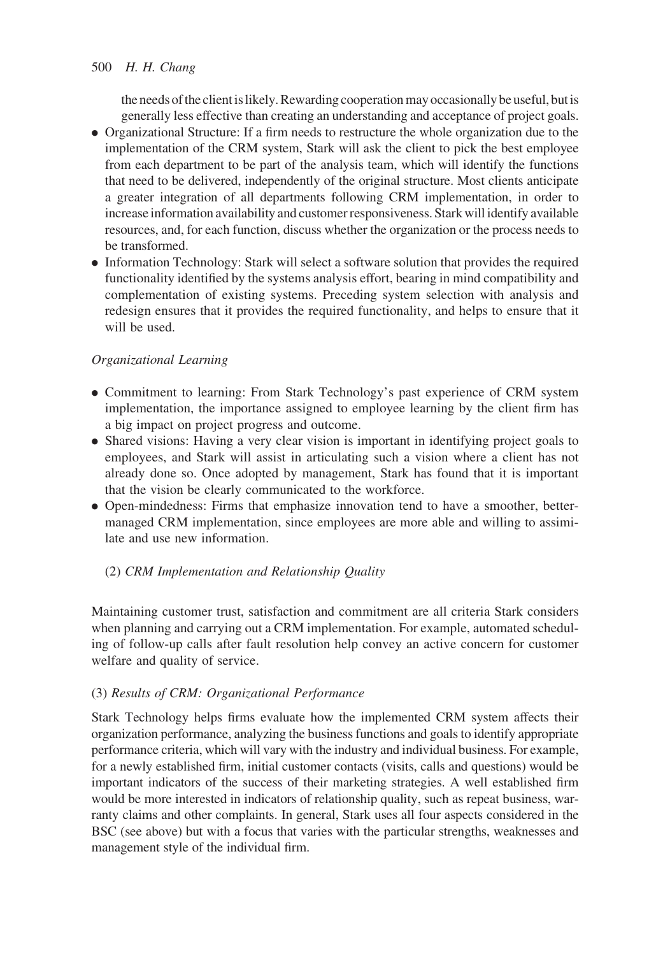the needs of the client is likely. Rewarding cooperation may occasionally be useful, but is generally less effective than creating an understanding and acceptance of project goals.

- . Organizational Structure: If a firm needs to restructure the whole organization due to the implementation of the CRM system, Stark will ask the client to pick the best employee from each department to be part of the analysis team, which will identify the functions that need to be delivered, independently of the original structure. Most clients anticipate a greater integration of all departments following CRM implementation, in order to increase information availability and customer responsiveness. Stark will identify available resources, and, for each function, discuss whether the organization or the process needs to be transformed.
- . Information Technology: Stark will select a software solution that provides the required functionality identified by the systems analysis effort, bearing in mind compatibility and complementation of existing systems. Preceding system selection with analysis and redesign ensures that it provides the required functionality, and helps to ensure that it will be used.

# Organizational Learning

- . Commitment to learning: From Stark Technology's past experience of CRM system implementation, the importance assigned to employee learning by the client firm has a big impact on project progress and outcome.
- . Shared visions: Having a very clear vision is important in identifying project goals to employees, and Stark will assist in articulating such a vision where a client has not already done so. Once adopted by management, Stark has found that it is important that the vision be clearly communicated to the workforce.
- . Open-mindedness: Firms that emphasize innovation tend to have a smoother, bettermanaged CRM implementation, since employees are more able and willing to assimilate and use new information.

# (2) CRM Implementation and Relationship Quality

Maintaining customer trust, satisfaction and commitment are all criteria Stark considers when planning and carrying out a CRM implementation. For example, automated scheduling of follow-up calls after fault resolution help convey an active concern for customer welfare and quality of service.

# (3) Results of CRM: Organizational Performance

Stark Technology helps firms evaluate how the implemented CRM system affects their organization performance, analyzing the business functions and goals to identify appropriate performance criteria, which will vary with the industry and individual business. For example, for a newly established firm, initial customer contacts (visits, calls and questions) would be important indicators of the success of their marketing strategies. A well established firm would be more interested in indicators of relationship quality, such as repeat business, warranty claims and other complaints. In general, Stark uses all four aspects considered in the BSC (see above) but with a focus that varies with the particular strengths, weaknesses and management style of the individual firm.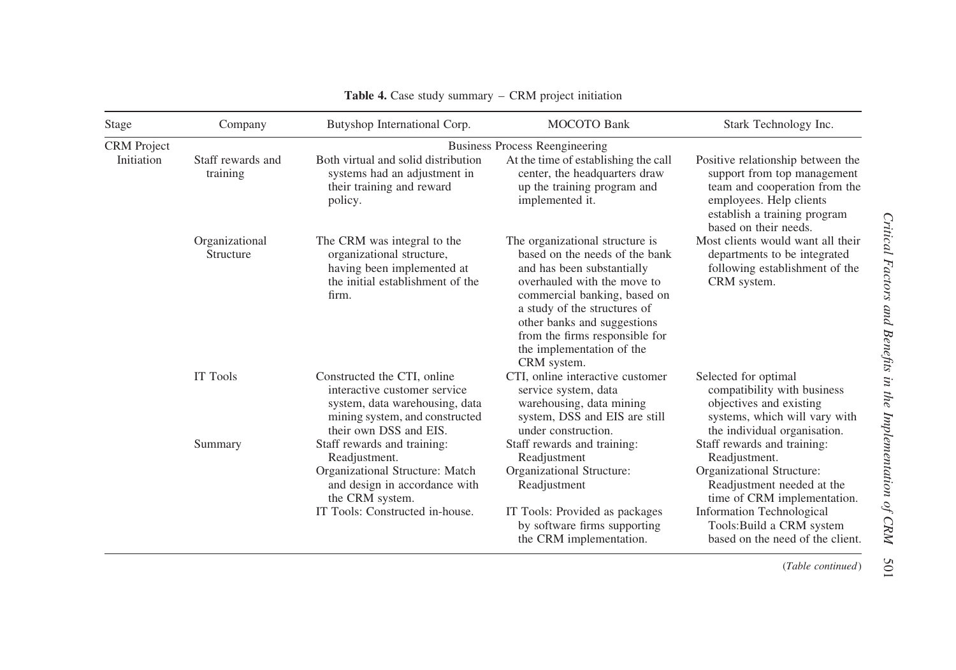| Stage              | Company                       | Butyshop International Corp.                                                                                                                              | <b>MOCOTO</b> Bank                                                                                                                                                                                                                                                                                          | Stark Technology Inc.                                                                                                                                                                 |  |
|--------------------|-------------------------------|-----------------------------------------------------------------------------------------------------------------------------------------------------------|-------------------------------------------------------------------------------------------------------------------------------------------------------------------------------------------------------------------------------------------------------------------------------------------------------------|---------------------------------------------------------------------------------------------------------------------------------------------------------------------------------------|--|
| <b>CRM</b> Project |                               | <b>Business Process Reengineering</b>                                                                                                                     |                                                                                                                                                                                                                                                                                                             |                                                                                                                                                                                       |  |
| Initiation         | Staff rewards and<br>training | Both virtual and solid distribution<br>systems had an adjustment in<br>their training and reward<br>policy.                                               | At the time of establishing the call<br>center, the headquarters draw<br>up the training program and<br>implemented it.                                                                                                                                                                                     | Positive relationship between the<br>support from top management<br>team and cooperation from the<br>employees. Help clients<br>establish a training program<br>based on their needs. |  |
|                    | Organizational<br>Structure   | The CRM was integral to the<br>organizational structure,<br>having been implemented at<br>the initial establishment of the<br>firm.                       | The organizational structure is<br>based on the needs of the bank<br>and has been substantially<br>overhauled with the move to<br>commercial banking, based on<br>a study of the structures of<br>other banks and suggestions<br>from the firms responsible for<br>the implementation of the<br>CRM system. | Most clients would want all their<br>departments to be integrated<br>following establishment of the<br>CRM system.                                                                    |  |
|                    | IT Tools                      | Constructed the CTI, online<br>interactive customer service<br>system, data warehousing, data<br>mining system, and constructed<br>their own DSS and EIS. | CTI, online interactive customer<br>service system, data<br>warehousing, data mining<br>system, DSS and EIS are still<br>under construction.                                                                                                                                                                | Selected for optimal<br>compatibility with business<br>objectives and existing<br>systems, which will vary with<br>the individual organisation.                                       |  |
|                    | Summary                       | Staff rewards and training:<br>Readjustment.                                                                                                              | Staff rewards and training:<br>Readjustment                                                                                                                                                                                                                                                                 | Staff rewards and training:<br>Readjustment.                                                                                                                                          |  |
|                    |                               | Organizational Structure: Match<br>and design in accordance with<br>the CRM system.                                                                       | Organizational Structure:<br>Readjustment                                                                                                                                                                                                                                                                   | Organizational Structure:<br>Readjustment needed at the<br>time of CRM implementation.                                                                                                |  |
|                    |                               | IT Tools: Constructed in-house.                                                                                                                           | IT Tools: Provided as packages<br>by software firms supporting<br>the CRM implementation.                                                                                                                                                                                                                   | <b>Information Technological</b><br>Tools: Build a CRM system<br>based on the need of the client.                                                                                     |  |

#### Table 4. Case study summary – CRM project initiation

(Table continued)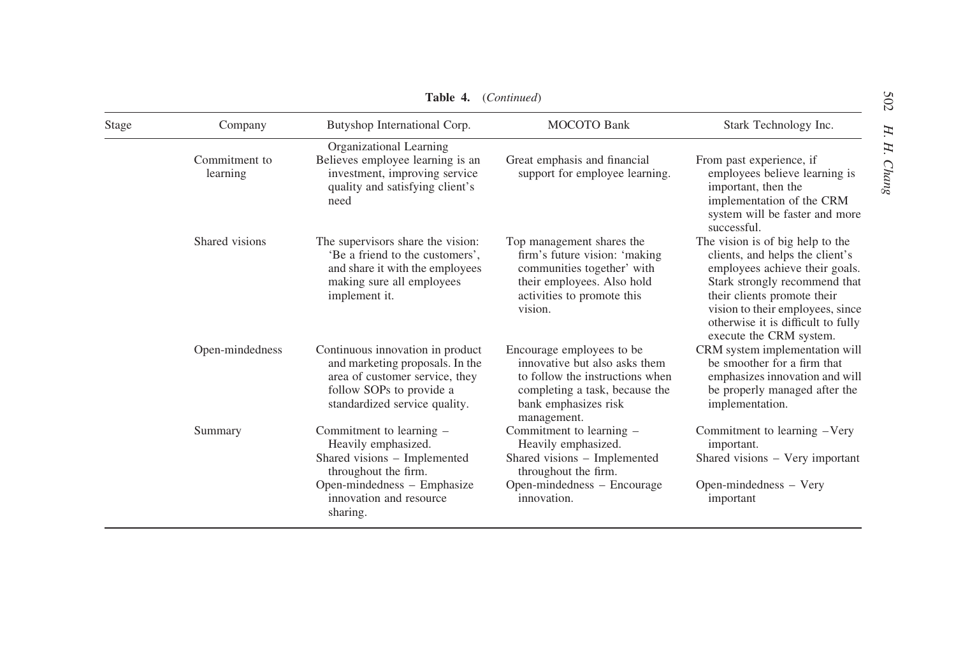| Stage | Company                   | Butyshop International Corp.                                                                                                                                                  | <b>MOCOTO Bank</b>                                                                                                                                                     | Stark Technology Inc.                                                                                                                                                                                                                                                      |
|-------|---------------------------|-------------------------------------------------------------------------------------------------------------------------------------------------------------------------------|------------------------------------------------------------------------------------------------------------------------------------------------------------------------|----------------------------------------------------------------------------------------------------------------------------------------------------------------------------------------------------------------------------------------------------------------------------|
|       | Commitment to<br>learning | Organizational Learning<br>Believes employee learning is an<br>investment, improving service<br>quality and satisfying client's<br>need                                       | Great emphasis and financial<br>support for employee learning.                                                                                                         | From past experience, if<br>employees believe learning is<br>important, then the<br>implementation of the CRM<br>system will be faster and more<br>successful.                                                                                                             |
|       | Shared visions            | The supervisors share the vision:<br>'Be a friend to the customers',<br>and share it with the employees<br>making sure all employees<br>implement it.                         | Top management shares the<br>firm's future vision: 'making<br>communities together' with<br>their employees. Also hold<br>activities to promote this<br>vision.        | The vision is of big help to the<br>clients, and helps the client's<br>employees achieve their goals.<br>Stark strongly recommend that<br>their clients promote their<br>vision to their employees, since<br>otherwise it is difficult to fully<br>execute the CRM system. |
|       | Open-mindedness           | Continuous innovation in product<br>and marketing proposals. In the<br>area of customer service, they<br>follow SOPs to provide a<br>standardized service quality.            | Encourage employees to be<br>innovative but also asks them<br>to follow the instructions when<br>completing a task, because the<br>bank emphasizes risk<br>management. | CRM system implementation will<br>be smoother for a firm that<br>emphasizes innovation and will<br>be properly managed after the<br>implementation.                                                                                                                        |
|       | Summary                   | Commitment to learning -<br>Heavily emphasized.<br>Shared visions - Implemented<br>throughout the firm.<br>Open-mindedness - Emphasize<br>innovation and resource<br>sharing. | Commitment to learning –<br>Heavily emphasized.<br>Shared visions - Implemented<br>throughout the firm.<br>Open-mindedness - Encourage<br>innovation.                  | Commitment to learning -Very<br>important.<br>Shared visions – Very important<br>Open-mindedness - Very<br>important                                                                                                                                                       |

Table 4. (Continued)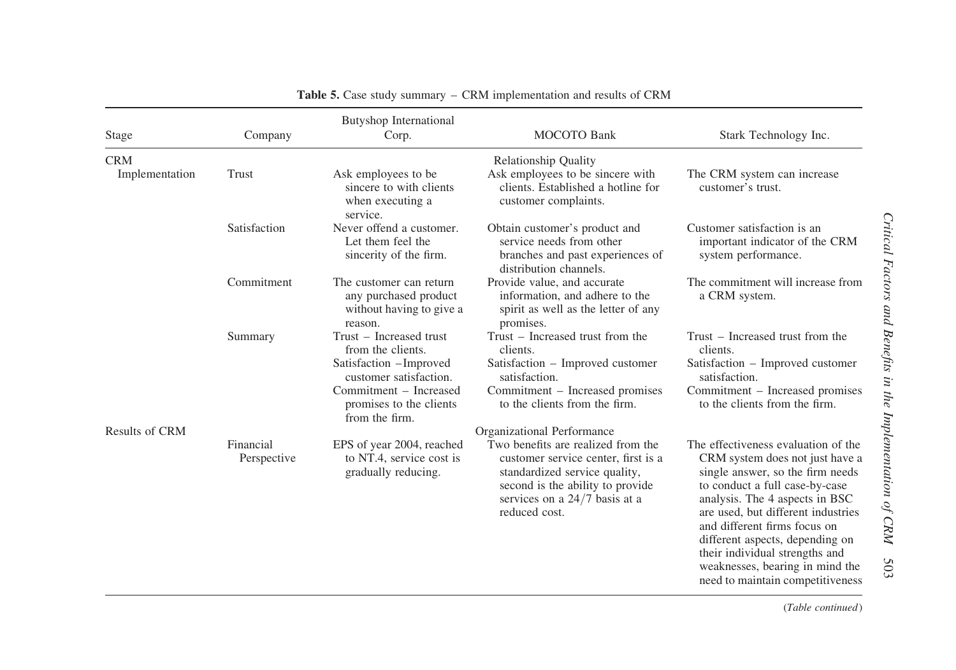| Stage                 | Company                  | <b>Butyshop International</b><br>Corp.                                                                                                                                  | <b>MOCOTO</b> Bank                                                                                                                                                                                  | Stark Technology Inc.                                                                                                                                                                                                                                                                                                                                                                            |
|-----------------------|--------------------------|-------------------------------------------------------------------------------------------------------------------------------------------------------------------------|-----------------------------------------------------------------------------------------------------------------------------------------------------------------------------------------------------|--------------------------------------------------------------------------------------------------------------------------------------------------------------------------------------------------------------------------------------------------------------------------------------------------------------------------------------------------------------------------------------------------|
| <b>CRM</b>            |                          |                                                                                                                                                                         | <b>Relationship Quality</b>                                                                                                                                                                         |                                                                                                                                                                                                                                                                                                                                                                                                  |
| Implementation        | Trust                    | Ask employees to be<br>sincere to with clients<br>when executing a<br>service.                                                                                          | Ask employees to be sincere with<br>clients. Established a hotline for<br>customer complaints.                                                                                                      | The CRM system can increase<br>customer's trust.                                                                                                                                                                                                                                                                                                                                                 |
|                       | Satisfaction             | Never offend a customer.<br>Let them feel the<br>sincerity of the firm.                                                                                                 | Obtain customer's product and<br>service needs from other<br>branches and past experiences of<br>distribution channels.                                                                             | Customer satisfaction is an<br>important indicator of the CRM<br>system performance.                                                                                                                                                                                                                                                                                                             |
|                       | Commitment               | The customer can return<br>any purchased product<br>without having to give a<br>reason.                                                                                 | Provide value, and accurate<br>information, and adhere to the<br>spirit as well as the letter of any<br>promises.                                                                                   | The commitment will increase from<br>a CRM system.                                                                                                                                                                                                                                                                                                                                               |
| <b>Results of CRM</b> | Summary                  | Trust – Increased trust<br>from the clients.<br>Satisfaction -Improved<br>customer satisfaction.<br>Commitment - Increased<br>promises to the clients<br>from the firm. | Trust – Increased trust from the<br>clients.<br>Satisfaction - Improved customer<br>satisfaction.<br>Commitment – Increased promises<br>to the clients from the firm.<br>Organizational Performance | Trust – Increased trust from the<br>clients.<br>Satisfaction - Improved customer<br>satisfaction.<br>Commitment – Increased promises<br>to the clients from the firm.                                                                                                                                                                                                                            |
|                       | Financial<br>Perspective | EPS of year 2004, reached<br>to NT.4, service cost is<br>gradually reducing.                                                                                            | Two benefits are realized from the<br>customer service center, first is a<br>standardized service quality,<br>second is the ability to provide<br>services on a $24/7$ basis at a<br>reduced cost.  | The effectiveness evaluation of the<br>CRM system does not just have a<br>single answer, so the firm needs<br>to conduct a full case-by-case<br>analysis. The 4 aspects in BSC<br>are used, but different industries<br>and different firms focus on<br>different aspects, depending on<br>their individual strengths and<br>weaknesses, bearing in mind the<br>need to maintain competitiveness |

Table 5. Case study summary – CRM implementation and results of CRM

(Table continued)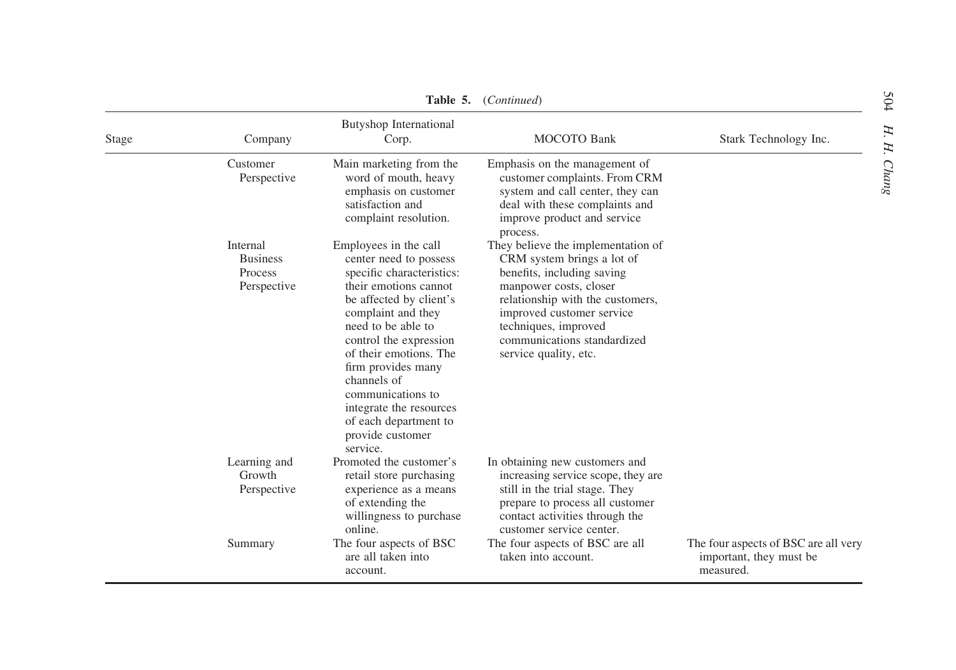| Stage | Company                                               | <b>Butyshop International</b><br>Corp.                                                                                                                                                                                                                                                                                                                                         | <b>MOCOTO Bank</b>                                                                                                                                                                                                                                                        | Stark Technology Inc.                                                        |
|-------|-------------------------------------------------------|--------------------------------------------------------------------------------------------------------------------------------------------------------------------------------------------------------------------------------------------------------------------------------------------------------------------------------------------------------------------------------|---------------------------------------------------------------------------------------------------------------------------------------------------------------------------------------------------------------------------------------------------------------------------|------------------------------------------------------------------------------|
|       | Customer<br>Perspective                               | Main marketing from the.<br>word of mouth, heavy<br>emphasis on customer<br>satisfaction and<br>complaint resolution.                                                                                                                                                                                                                                                          | Emphasis on the management of<br>customer complaints. From CRM<br>system and call center, they can<br>deal with these complaints and<br>improve product and service<br>process.                                                                                           |                                                                              |
|       | Internal<br><b>Business</b><br>Process<br>Perspective | Employees in the call<br>center need to possess<br>specific characteristics:<br>their emotions cannot<br>be affected by client's<br>complaint and they<br>need to be able to<br>control the expression<br>of their emotions. The<br>firm provides many<br>channels of<br>communications to<br>integrate the resources<br>of each department to<br>provide customer<br>service. | They believe the implementation of<br>CRM system brings a lot of<br>benefits, including saving<br>manpower costs, closer<br>relationship with the customers,<br>improved customer service<br>techniques, improved<br>communications standardized<br>service quality, etc. |                                                                              |
|       | Learning and<br>Growth<br>Perspective                 | Promoted the customer's<br>retail store purchasing<br>experience as a means<br>of extending the<br>willingness to purchase<br>online.                                                                                                                                                                                                                                          | In obtaining new customers and<br>increasing service scope, they are<br>still in the trial stage. They<br>prepare to process all customer<br>contact activities through the<br>customer service center.                                                                   |                                                                              |
|       | Summary                                               | The four aspects of BSC<br>are all taken into<br>account.                                                                                                                                                                                                                                                                                                                      | The four aspects of BSC are all<br>taken into account.                                                                                                                                                                                                                    | The four aspects of BSC are all very<br>important, they must be<br>measured. |

Table 5. (Continued)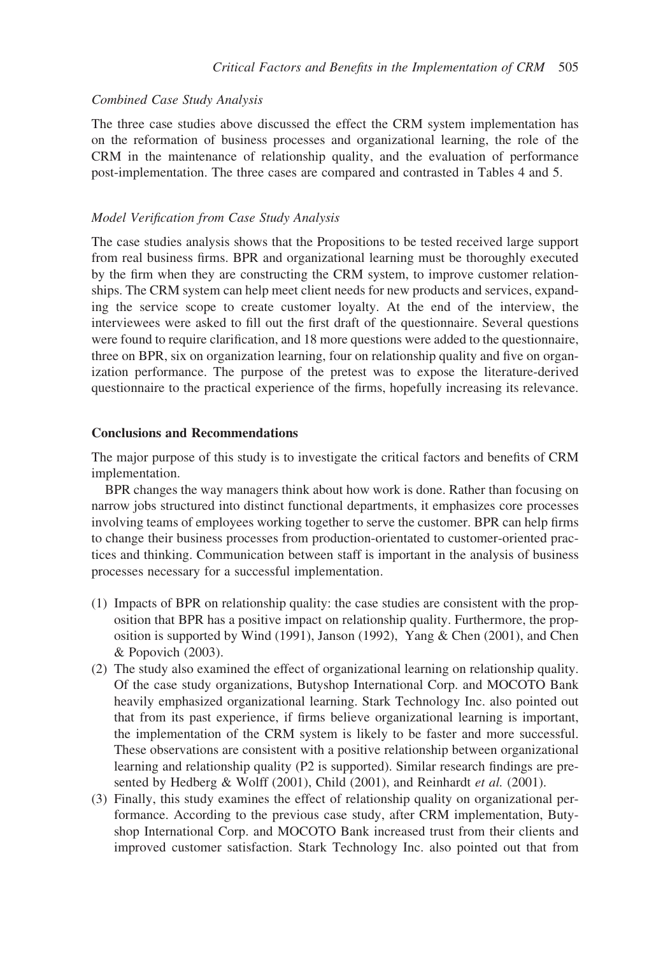#### Combined Case Study Analysis

The three case studies above discussed the effect the CRM system implementation has on the reformation of business processes and organizational learning, the role of the CRM in the maintenance of relationship quality, and the evaluation of performance post-implementation. The three cases are compared and contrasted in Tables 4 and 5.

## Model Verification from Case Study Analysis

The case studies analysis shows that the Propositions to be tested received large support from real business firms. BPR and organizational learning must be thoroughly executed by the firm when they are constructing the CRM system, to improve customer relationships. The CRM system can help meet client needs for new products and services, expanding the service scope to create customer loyalty. At the end of the interview, the interviewees were asked to fill out the first draft of the questionnaire. Several questions were found to require clarification, and 18 more questions were added to the questionnaire, three on BPR, six on organization learning, four on relationship quality and five on organization performance. The purpose of the pretest was to expose the literature-derived questionnaire to the practical experience of the firms, hopefully increasing its relevance.

#### Conclusions and Recommendations

The major purpose of this study is to investigate the critical factors and benefits of CRM implementation.

BPR changes the way managers think about how work is done. Rather than focusing on narrow jobs structured into distinct functional departments, it emphasizes core processes involving teams of employees working together to serve the customer. BPR can help firms to change their business processes from production-orientated to customer-oriented practices and thinking. Communication between staff is important in the analysis of business processes necessary for a successful implementation.

- (1) Impacts of BPR on relationship quality: the case studies are consistent with the proposition that BPR has a positive impact on relationship quality. Furthermore, the proposition is supported by Wind (1991), Janson (1992), Yang & Chen (2001), and Chen & Popovich (2003).
- (2) The study also examined the effect of organizational learning on relationship quality. Of the case study organizations, Butyshop International Corp. and MOCOTO Bank heavily emphasized organizational learning. Stark Technology Inc. also pointed out that from its past experience, if firms believe organizational learning is important, the implementation of the CRM system is likely to be faster and more successful. These observations are consistent with a positive relationship between organizational learning and relationship quality (P2 is supported). Similar research findings are presented by Hedberg & Wolff (2001), Child (2001), and Reinhardt et al. (2001).
- (3) Finally, this study examines the effect of relationship quality on organizational performance. According to the previous case study, after CRM implementation, Butyshop International Corp. and MOCOTO Bank increased trust from their clients and improved customer satisfaction. Stark Technology Inc. also pointed out that from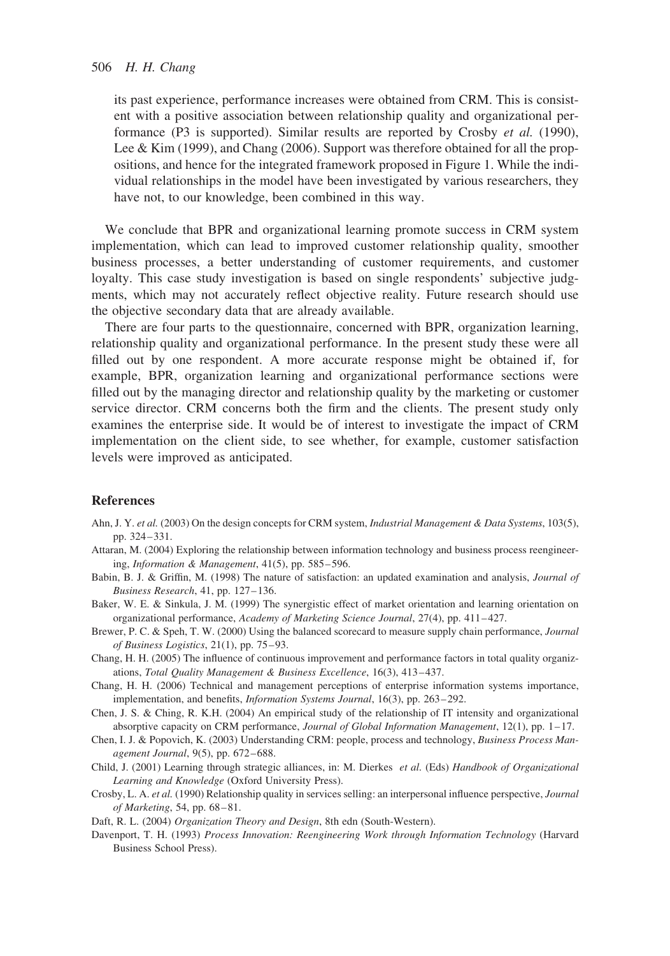its past experience, performance increases were obtained from CRM. This is consistent with a positive association between relationship quality and organizational performance (P3 is supported). Similar results are reported by Crosby et al. (1990), Lee & Kim (1999), and Chang (2006). Support was therefore obtained for all the propositions, and hence for the integrated framework proposed in Figure 1. While the individual relationships in the model have been investigated by various researchers, they have not, to our knowledge, been combined in this way.

We conclude that BPR and organizational learning promote success in CRM system implementation, which can lead to improved customer relationship quality, smoother business processes, a better understanding of customer requirements, and customer loyalty. This case study investigation is based on single respondents' subjective judgments, which may not accurately reflect objective reality. Future research should use the objective secondary data that are already available.

There are four parts to the questionnaire, concerned with BPR, organization learning, relationship quality and organizational performance. In the present study these were all filled out by one respondent. A more accurate response might be obtained if, for example, BPR, organization learning and organizational performance sections were filled out by the managing director and relationship quality by the marketing or customer service director. CRM concerns both the firm and the clients. The present study only examines the enterprise side. It would be of interest to investigate the impact of CRM implementation on the client side, to see whether, for example, customer satisfaction levels were improved as anticipated.

#### References

- Ahn, J. Y. et al. (2003) On the design concepts for CRM system, Industrial Management & Data Systems, 103(5), pp. 324–331.
- Attaran, M. (2004) Exploring the relationship between information technology and business process reengineering, Information & Management, 41(5), pp. 585–596.
- Babin, B. J. & Griffin, M. (1998) The nature of satisfaction: an updated examination and analysis, Journal of Business Research, 41, pp. 127–136.
- Baker, W. E. & Sinkula, J. M. (1999) The synergistic effect of market orientation and learning orientation on organizational performance, Academy of Marketing Science Journal, 27(4), pp. 411–427.
- Brewer, P. C. & Speh, T. W. (2000) Using the balanced scorecard to measure supply chain performance, Journal of Business Logistics, 21(1), pp. 75–93.
- Chang, H. H. (2005) The influence of continuous improvement and performance factors in total quality organizations, Total Quality Management & Business Excellence, 16(3), 413–437.
- Chang, H. H. (2006) Technical and management perceptions of enterprise information systems importance, implementation, and benefits, Information Systems Journal, 16(3), pp. 263–292.
- Chen, J. S. & Ching, R. K.H. (2004) An empirical study of the relationship of IT intensity and organizational absorptive capacity on CRM performance, Journal of Global Information Management, 12(1), pp. 1–17.
- Chen, I. J. & Popovich, K. (2003) Understanding CRM: people, process and technology, Business Process Management Journal, 9(5), pp. 672–688.
- Child, J. (2001) Learning through strategic alliances, in: M. Dierkes et al. (Eds) Handbook of Organizational Learning and Knowledge (Oxford University Press).
- Crosby, L. A. et al. (1990) Relationship quality in services selling: an interpersonal influence perspective, Journal of Marketing, 54, pp. 68–81.
- Daft, R. L. (2004) Organization Theory and Design, 8th edn (South-Western).
- Davenport, T. H. (1993) Process Innovation: Reengineering Work through Information Technology (Harvard Business School Press).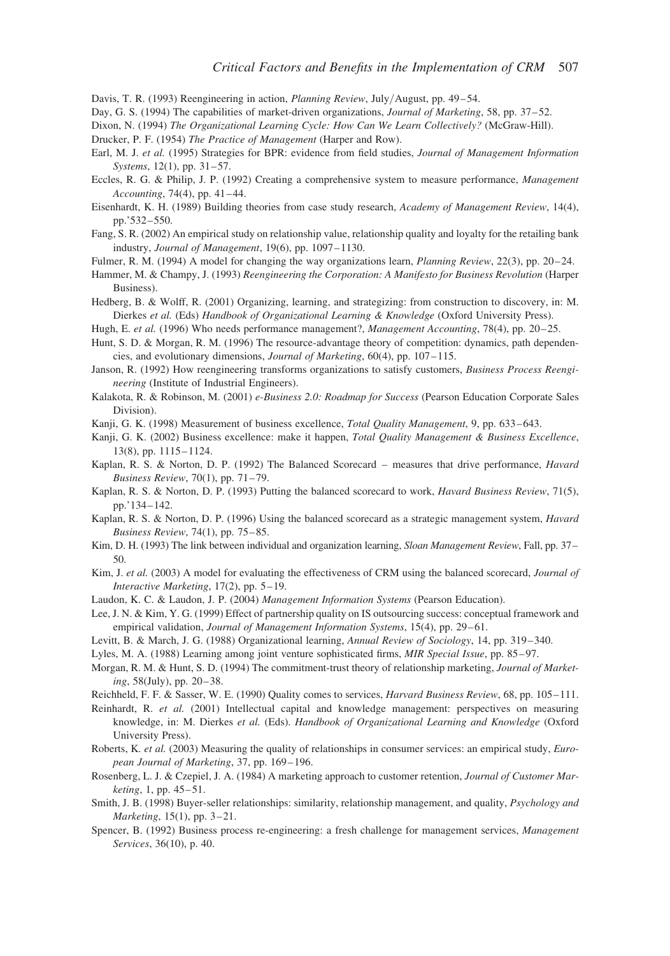Davis, T. R. (1993) Reengineering in action, Planning Review, July/August, pp. 49–54.

Day, G. S. (1994) The capabilities of market-driven organizations, Journal of Marketing, 58, pp. 37-52.

Dixon, N. (1994) The Organizational Learning Cycle: How Can We Learn Collectively? (McGraw-Hill).

Drucker, P. F. (1954) The Practice of Management (Harper and Row).

- Earl, M. J. et al. (1995) Strategies for BPR: evidence from field studies, *Journal of Management Information* Systems, 12(1), pp. 31–57.
- Eccles, R. G. & Philip, J. P. (1992) Creating a comprehensive system to measure performance, Management Accounting, 74(4), pp. 41–44.
- Eisenhardt, K. H. (1989) Building theories from case study research, Academy of Management Review, 14(4), pp.'532–550.
- Fang, S. R. (2002) An empirical study on relationship value, relationship quality and loyalty for the retailing bank industry, Journal of Management, 19(6), pp. 1097–1130.

Fulmer, R. M. (1994) A model for changing the way organizations learn, Planning Review, 22(3), pp. 20–24.

- Hammer, M. & Champy, J. (1993) Reengineering the Corporation: A Manifesto for Business Revolution (Harper Business).
- Hedberg, B. & Wolff, R. (2001) Organizing, learning, and strategizing: from construction to discovery, in: M. Dierkes et al. (Eds) Handbook of Organizational Learning & Knowledge (Oxford University Press).

Hugh, E. et al. (1996) Who needs performance management?, Management Accounting, 78(4), pp. 20–25.

- Hunt, S. D. & Morgan, R. M. (1996) The resource-advantage theory of competition: dynamics, path dependencies, and evolutionary dimensions, Journal of Marketing, 60(4), pp. 107–115.
- Janson, R. (1992) How reengineering transforms organizations to satisfy customers, Business Process Reengineering (Institute of Industrial Engineers).
- Kalakota, R. & Robinson, M. (2001) e-Business 2.0: Roadmap for Success (Pearson Education Corporate Sales Division).
- Kanji, G. K. (1998) Measurement of business excellence, Total Quality Management, 9, pp. 633–643.
- Kanji, G. K. (2002) Business excellence: make it happen, Total Quality Management & Business Excellence, 13(8), pp. 1115–1124.
- Kaplan, R. S. & Norton, D. P. (1992) The Balanced Scorecard measures that drive performance, Havard Business Review, 70(1), pp. 71–79.
- Kaplan, R. S. & Norton, D. P. (1993) Putting the balanced scorecard to work, *Havard Business Review*, 71(5), pp.'134–142.
- Kaplan, R. S. & Norton, D. P. (1996) Using the balanced scorecard as a strategic management system, *Havard* Business Review, 74(1), pp. 75–85.
- Kim, D. H. (1993) The link between individual and organization learning, Sloan Management Review, Fall, pp. 37– 50.
- Kim, J. et al. (2003) A model for evaluating the effectiveness of CRM using the balanced scorecard, Journal of Interactive Marketing, 17(2), pp. 5–19.

Laudon, K. C. & Laudon, J. P. (2004) Management Information Systems (Pearson Education).

- Lee, J. N. & Kim, Y. G. (1999) Effect of partnership quality on IS outsourcing success: conceptual framework and empirical validation, Journal of Management Information Systems, 15(4), pp. 29–61.
- Levitt, B. & March, J. G. (1988) Organizational learning, Annual Review of Sociology, 14, pp. 319–340.
- Lyles, M. A. (1988) Learning among joint venture sophisticated firms, MIR Special Issue, pp. 85–97.
- Morgan, R. M. & Hunt, S. D. (1994) The commitment-trust theory of relationship marketing, Journal of Marketing, 58(July), pp. 20–38.
- Reichheld, F. F. & Sasser, W. E. (1990) Quality comes to services, *Harvard Business Review*, 68, pp. 105–111.
- Reinhardt, R. et al. (2001) Intellectual capital and knowledge management: perspectives on measuring knowledge, in: M. Dierkes et al. (Eds). Handbook of Organizational Learning and Knowledge (Oxford University Press).
- Roberts, K. *et al.* (2003) Measuring the quality of relationships in consumer services: an empirical study, *Euro*pean Journal of Marketing, 37, pp. 169–196.
- Rosenberg, L. J. & Czepiel, J. A. (1984) A marketing approach to customer retention, Journal of Customer Marketing, 1, pp. 45–51.
- Smith, J. B. (1998) Buyer-seller relationships: similarity, relationship management, and quality, Psychology and Marketing, 15(1), pp. 3–21.
- Spencer, B. (1992) Business process re-engineering: a fresh challenge for management services, Management Services, 36(10), p. 40.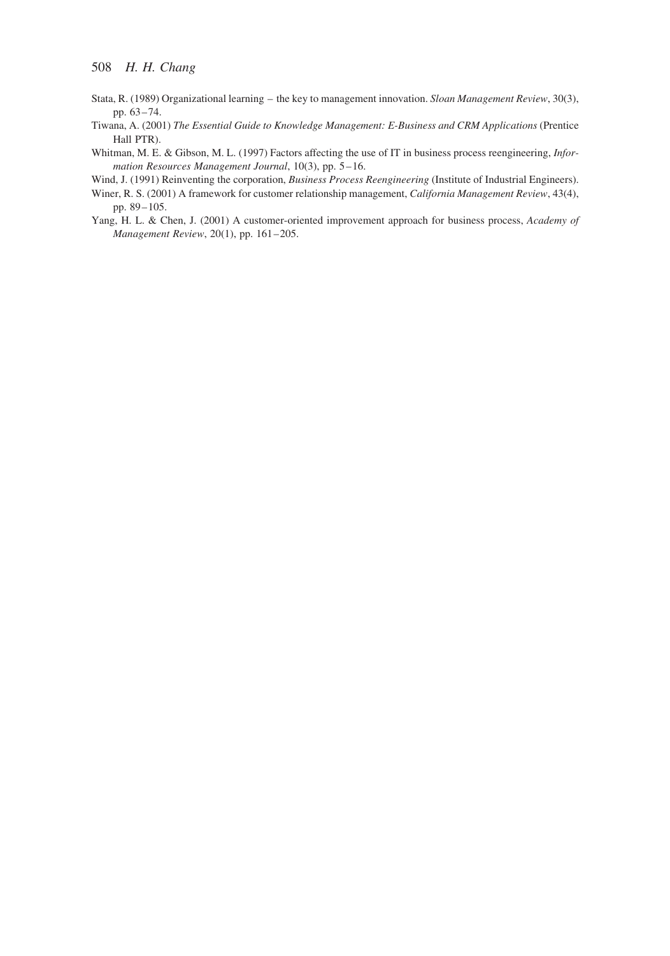- Stata, R. (1989) Organizational learning the key to management innovation. *Sloan Management Review*, 30(3), pp. 63–74.
- Tiwana, A. (2001) The Essential Guide to Knowledge Management: E-Business and CRM Applications (Prentice Hall PTR).
- Whitman, M. E. & Gibson, M. L. (1997) Factors affecting the use of IT in business process reengineering, *Infor*mation Resources Management Journal, 10(3), pp. 5–16.
- Wind, J. (1991) Reinventing the corporation, Business Process Reengineering (Institute of Industrial Engineers).
- Winer, R. S. (2001) A framework for customer relationship management, California Management Review, 43(4), pp. 89–105.
- Yang, H. L. & Chen, J. (2001) A customer-oriented improvement approach for business process, Academy of Management Review, 20(1), pp. 161–205.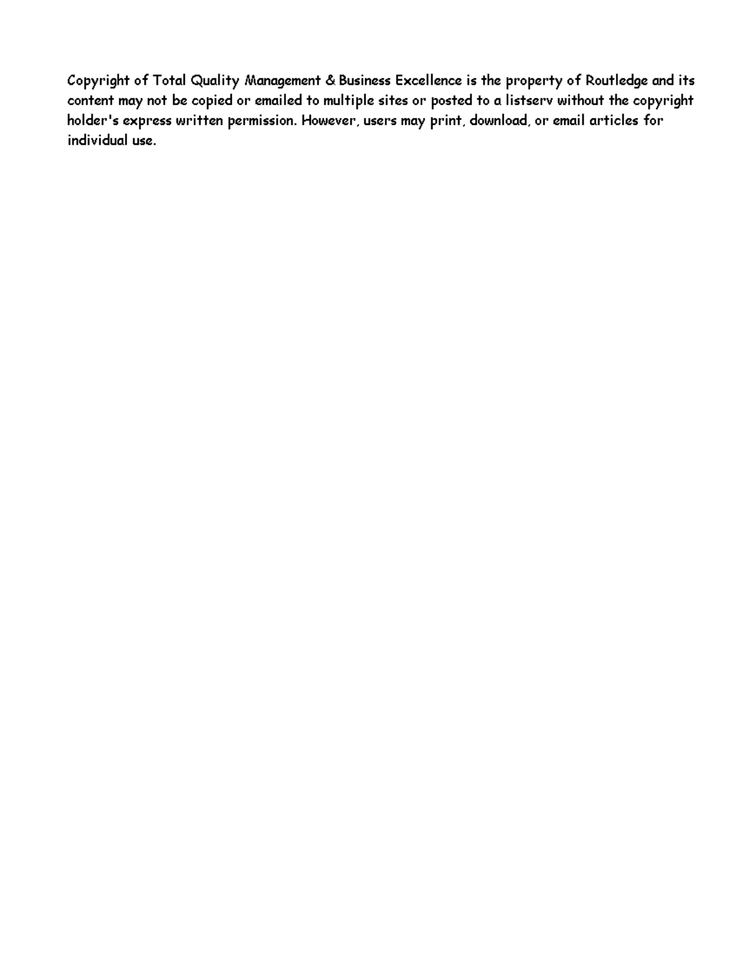Copyright of Total Quality Management & Business Excellence is the property of Routledge and its content may not be copied or emailed to multiple sites or posted to a listserv without the copyright holder's express written permission. However, users may print, download, or email articles for individual use.